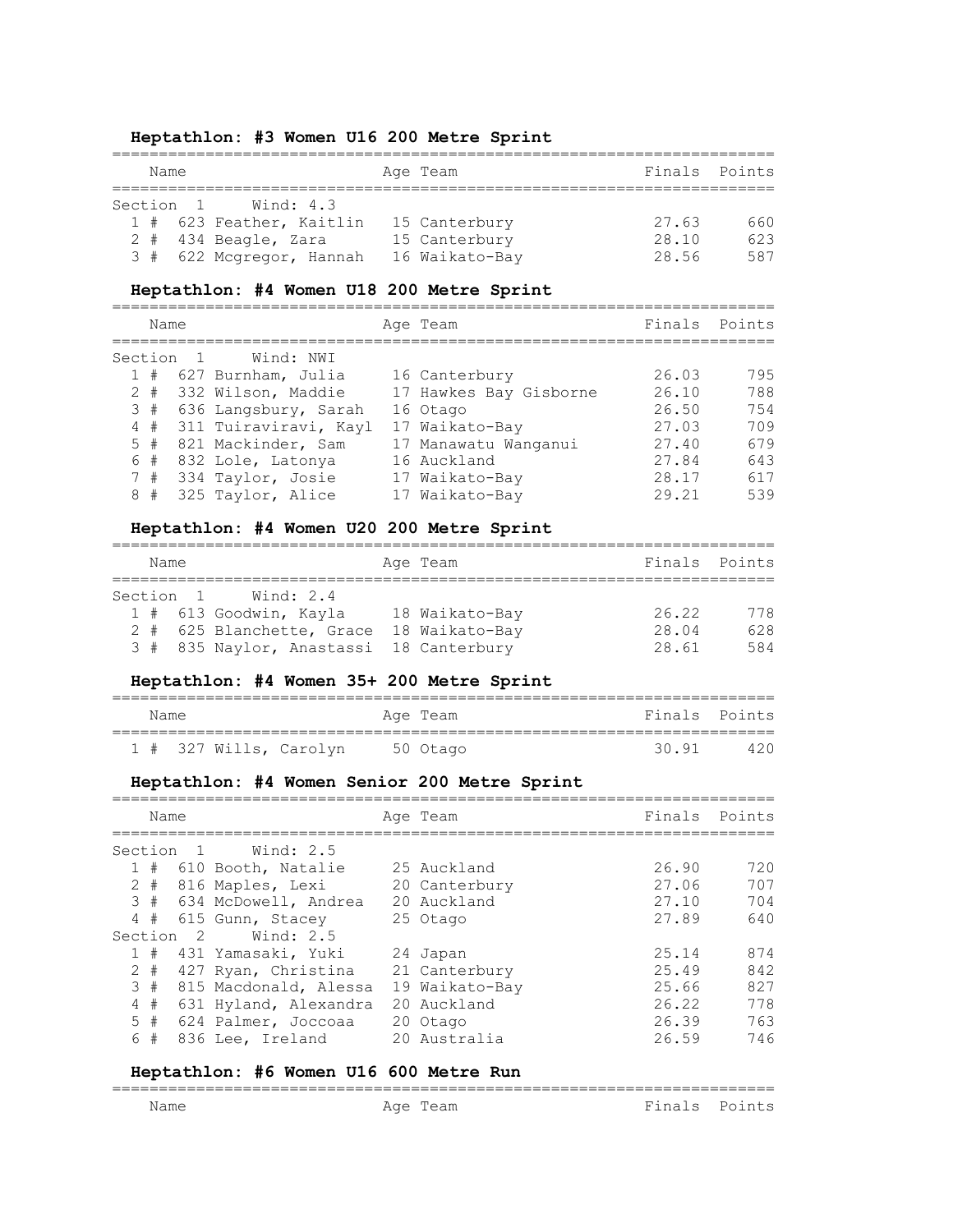# **Heptathlon: #3 Women U16 200 Metre Sprint**

| Name |  |  |                          | Age Team       |       | Finals Points |
|------|--|--|--------------------------|----------------|-------|---------------|
|      |  |  | Section 1<br>Wind: 4.3   |                |       |               |
|      |  |  | 1 # 623 Feather, Kaitlin | 15 Canterbury  | 27.63 | 660           |
|      |  |  | $2$ # 434 Beagle, Zara   | 15 Canterbury  | 28.10 | 623           |
|      |  |  | 3 # 622 Mcgregor, Hannah | 16 Waikato-Bay | 28.56 | 587           |

#### **Heptathlon: #4 Women U18 200 Metre Sprint**

| Name  |           |                       | Age Team               |       | Finals Points |
|-------|-----------|-----------------------|------------------------|-------|---------------|
|       | Section 1 | Wind: NWI             |                        |       |               |
| 1#    |           | 627 Burnham, Julia    | 16 Canterbury          | 26.03 | 795           |
| $2 +$ |           | 332 Wilson, Maddie    | 17 Hawkes Bay Gisborne | 26.10 | 788           |
| 3#    |           | 636 Langsbury, Sarah  | 16 Otago               | 26.50 | 754           |
| 4#    |           | 311 Tuiraviravi, Kayl | 17 Waikato-Bay         | 27.03 | 709           |
| 5#    |           | 821 Mackinder, Sam    | 17 Manawatu Wanganui   | 27.40 | 679           |
| 6#    |           | 832 Lole, Latonya     | 16 Auckland            | 27.84 | 643           |
| 7#    |           | 334 Taylor, Josie     | 17 Waikato-Bay         | 28.17 | 617           |
| 8#    |           | 325 Taylor, Alice     | 17 Waikato-Bay         | 29 21 | 539           |

#### **Heptathlon: #4 Women U20 200 Metre Sprint**

| Name |           |                                         | Age Team       | Finals Points |     |
|------|-----------|-----------------------------------------|----------------|---------------|-----|
|      | Section 1 | Wind: 2.4                               |                |               |     |
|      |           | 1 # 613 Goodwin, Kayla                  | 18 Waikato-Bay | 26.22         | 778 |
|      |           | 2 # 625 Blanchette, Grace               | 18 Waikato-Bay | 28.04         | 628 |
|      |           | 3 # 835 Naylor, Anastassi 18 Canterbury |                | 28.61         | 584 |

# **Heptathlon: #4 Women 35+ 200 Metre Sprint**

| Name |  |                                 | Age Team |       | Finals Points |
|------|--|---------------------------------|----------|-------|---------------|
|      |  | 1 # 327 Wills, Carolyn 50 Otago |          | 30.91 | 420           |

# **Heptathlon: #4 Women Senior 200 Metre Sprint**

| Name      |       |     |                          | Age Team       | Finals | Points |
|-----------|-------|-----|--------------------------|----------------|--------|--------|
| Section 1 |       |     | Wind: 2.5                |                |        |        |
|           | 1#    |     | 610 Booth, Natalie       | 25 Auckland    | 26.90  | 720    |
|           | $2 +$ |     | 816 Maples, Lexi         | 20 Canterbury  | 27.06  | 707    |
|           |       |     | 3 # 634 McDowell, Andrea | 20 Auckland    | 27.10  | 704    |
|           | 4#    |     | 615 Gunn, Stacey         | 25 Otago       | 27.89  | 640    |
| Section   |       | - 2 | Wind: 2.5                |                |        |        |
|           | #     |     | 431 Yamasaki, Yuki       | 24 Japan       | 25.14  | 874    |
|           | $2 +$ |     | 427 Ryan, Christina      | 21 Canterbury  | 25.49  | 842    |
|           | 3#    |     | 815 Macdonald, Alessa    | 19 Waikato-Bay | 25.66  | 827    |
|           | 4#    |     | 631 Hyland, Alexandra    | 20 Auckland    | 26.22  | 778    |
|           | 5#    |     | 624 Palmer, Joccoaa      | 20 Otago       | 26.39  | 763    |
| 6         | #     |     | 836 Lee, Ireland         | 20 Australia   | 26.59  | 746    |
|           |       |     |                          |                |        |        |

#### **Heptathlon: #6 Women U16 600 Metre Run**

| __<br>_________ |            |                          |  |
|-----------------|------------|--------------------------|--|
| - -             | $\uparrow$ |                          |  |
| Nam⊢            | ∙ ب∟ ב∡    | $\overline{\phantom{0}}$ |  |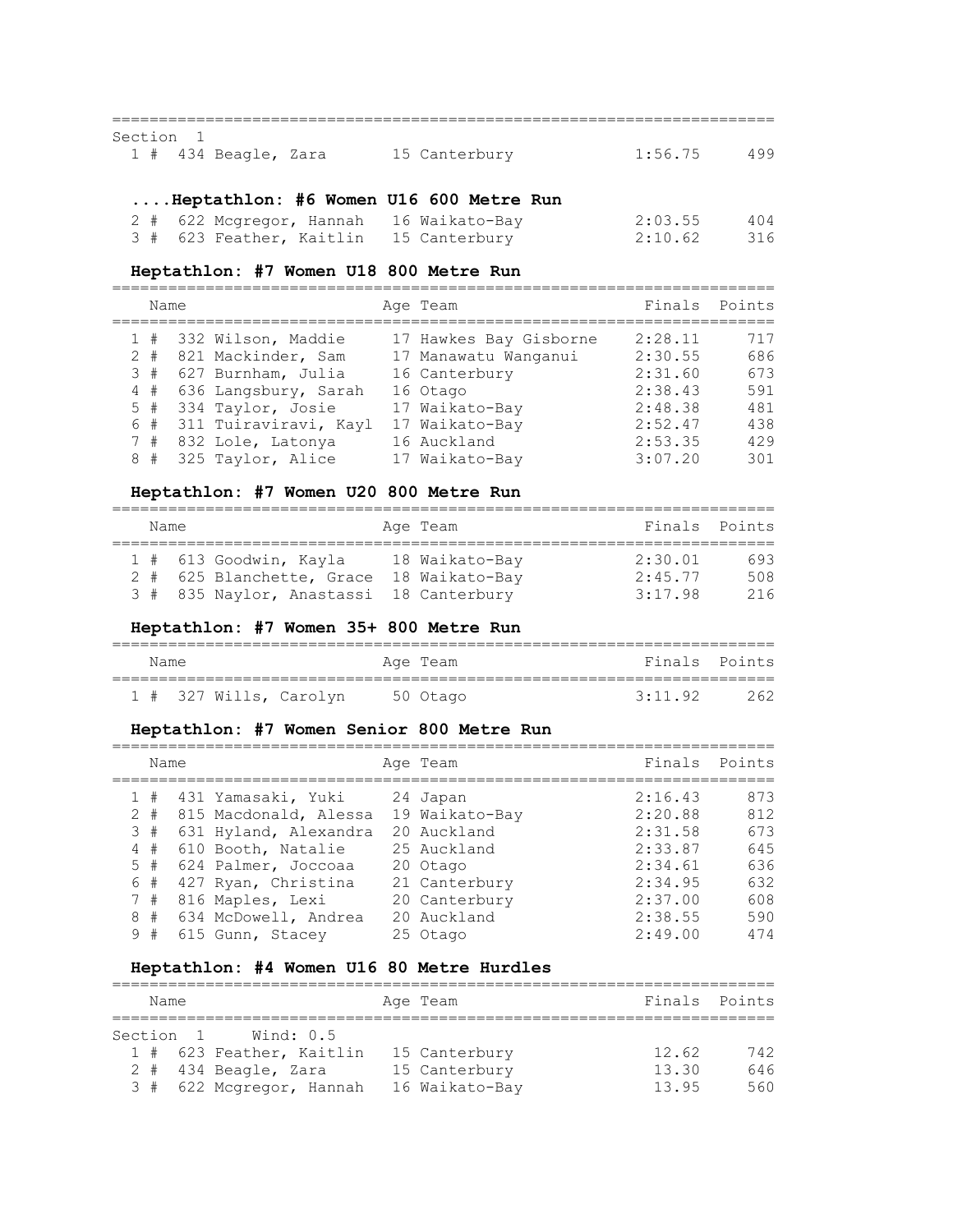### ======================================================================= Section 1 1 # 434 Beagle, Zara 15 Canterbury 1:56.75 499

# **....Heptathlon: #6 Women U16 600 Metre Run**

| 2 # 622 Mcgregor, Hannah 16 Waikato-Bay | 2:03.55 | 404   |
|-----------------------------------------|---------|-------|
| 3 # 623 Feather, Kaitlin 15 Canterbury  | 2:10.62 | - 316 |

#### **Heptathlon: #7 Women U18 800 Metre Run**

|  | Name |  |                        | Age Team               | Finals  | Points |
|--|------|--|------------------------|------------------------|---------|--------|
|  |      |  | 1 # 332 Wilson, Maddie | 17 Hawkes Bay Gisborne | 2:28.11 | 717    |
|  |      |  | 2 # 821 Mackinder, Sam | 17 Manawatu Wanganui   | 2:30.55 | 686    |
|  | 3#   |  | 627 Burnham, Julia     | 16 Canterbury          | 2:31.60 | 673    |
|  | 4#   |  | 636 Langsbury, Sarah   | 16 Otago               | 2:38.43 | 591    |
|  |      |  | 5 # 334 Taylor, Josie  | 17 Waikato-Bay         | 2:48.38 | 481    |
|  | 6#   |  | 311 Tuiraviravi, Kayl  | 17 Waikato-Bay         | 2:52.47 | 438    |
|  |      |  | 7 # 832 Lole, Latonya  | 16 Auckland            | 2:53.35 | 429    |
|  |      |  | 8 # 325 Taylor, Alice  | 17 Waikato-Bay         | 3:07.20 | 301    |
|  |      |  |                        |                        |         |        |

# **Heptathlon: #7 Women U20 800 Metre Run**

| Name |                                                     | Age Team                         | Finals Points      |            |
|------|-----------------------------------------------------|----------------------------------|--------------------|------------|
|      | 1 # 613 Goodwin, Kayla<br>2 # 625 Blanchette, Grace | 18 Waikato-Bay<br>18 Waikato-Bay | 2:30.01<br>2:45.77 | 693<br>508 |
|      | 3 # 835 Naylor, Anastassi 18 Canterbury             |                                  | 3:17.98            | 216        |

#### **Heptathlon: #7 Women 35+ 800 Metre Run**

| Name |  |                                 | Age Team |         | Finals Points |
|------|--|---------------------------------|----------|---------|---------------|
|      |  | 1 # 327 Wills, Carolyn 50 Otago |          | 3:11.92 | 262           |

# **Heptathlon: #7 Women Senior 800 Metre Run**

|       | Name  |                       | Age Team       | Finals  | Points |
|-------|-------|-----------------------|----------------|---------|--------|
|       | 1#    | 431 Yamasaki, Yuki    | 24 Japan       | 2:16.43 | 873    |
| $2 +$ |       | 815 Macdonald, Alessa | 19 Waikato-Bay | 2:20.88 | 812    |
| 3#    |       | 631 Hyland, Alexandra | 20 Auckland    | 2:31.58 | 673    |
| 4#    |       | 610 Booth, Natalie    | 25 Auckland    | 2:33.87 | 645    |
| 5#    |       | 624 Palmer, Joccoaa   | 20 Otago       | 2:34.61 | 636    |
| 6#    |       | 427 Ryan, Christina   | 21 Canterbury  | 2:34.95 | 632    |
| 7#    |       | 816 Maples, Lexi      | 20 Canterbury  | 2:37.00 | 608    |
| 8     | $\pm$ | 634 McDowell, Andrea  | 20 Auckland    | 2:38.55 | 590    |
| 9     | #     | 615 Gunn, Stacey      | 25 Otago       | 2:49.00 | 474    |
|       |       |                       |                |         |        |

# **Heptathlon: #4 Women U16 80 Metre Hurdles**

| Name |  |           |                          | Age Team       | Finals Points |     |
|------|--|-----------|--------------------------|----------------|---------------|-----|
|      |  | Section 1 | Wind: 0.5                |                |               |     |
|      |  |           | 1 # 623 Feather, Kaitlin | 15 Canterbury  | 12.62         | 742 |
|      |  |           | $2$ # 434 Beagle, Zara   | 15 Canterbury  | 13.30         | 646 |
|      |  |           | 3 # 622 Mcgregor, Hannah | 16 Waikato-Bay | 13.95         | 560 |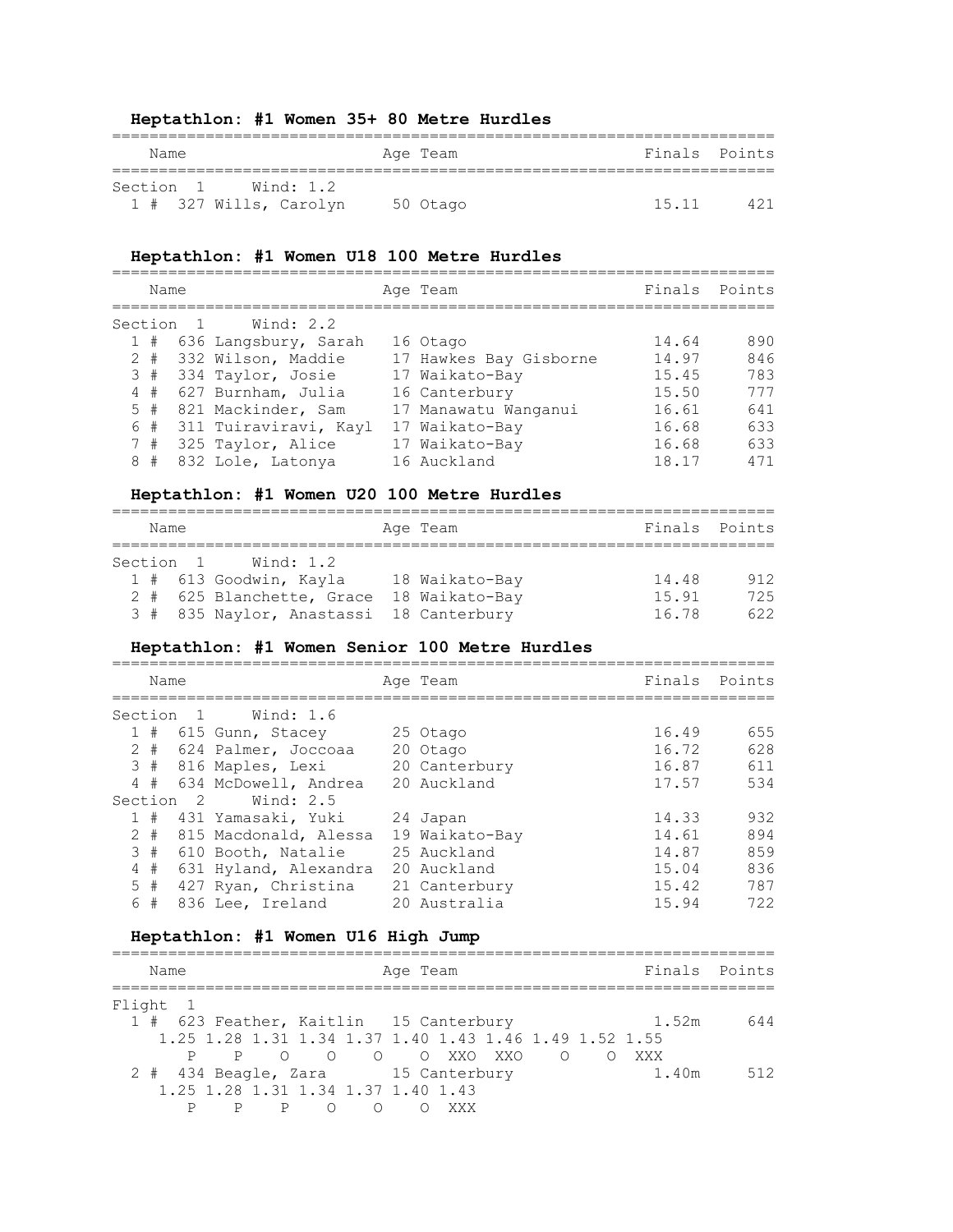#### **Heptathlon: #1 Women 35+ 80 Metre Hurdles**

| Name                   | Age Team | Finals Points |
|------------------------|----------|---------------|
| Section 1 Wind: 1.2    |          |               |
| 1 # 327 Wills, Carolyn | 50 Otago | 15 11<br>421  |

#### **Heptathlon: #1 Women U18 100 Metre Hurdles**

======================================================================= Name **Age Team** Age Team Finals Points ======================================================================= Section 1 Wind: 2.2<br>1 # 636 Langsbury, Sarah 16 Otago 1 # 636 Langsbury, Sarah 16 Otago 14.64 890 2 # 332 Wilson, Maddie 17 Hawkes Bay Gisborne 14.97 846 3 # 334 Taylor, Josie 17 Waikato-Bay 15.45 783 4 # 627 Burnham, Julia 16 Canterbury 15.50 777 5 # 821 Mackinder, Sam 17 Manawatu Wanganui 16.61 641 6 # 311 Tuiraviravi, Kayl 17 Waikato-Bay 16.68 633 7 # 325 Taylor, Alice 17 Waikato-Bay 16.68 633 8 # 832 Lole, Latonya 16 Auckland 18.17 471

#### **Heptathlon: #1 Women U20 100 Metre Hurdles**

| Name |           |                                         | Age Team       | Finals Points |     |
|------|-----------|-----------------------------------------|----------------|---------------|-----|
|      | Section 1 | Wind: 1.2                               |                |               |     |
|      |           | 1 # 613 Goodwin, Kayla                  | 18 Waikato-Bay | 14.48         | 912 |
|      |           | 2 # 625 Blanchette, Grace               | 18 Waikato-Bay | 15.91         | 725 |
|      |           | 3 # 835 Naylor, Anastassi 18 Canterbury |                | 16.78         | 622 |

#### **Heptathlon: #1 Women Senior 100 Metre Hurdles**

| Name  |                      |                         | Age Team       | Finals | Points |
|-------|----------------------|-------------------------|----------------|--------|--------|
|       | Section 1            | Wind: 1.6               |                |        |        |
|       |                      | 1 # 615 Gunn, Stacey    | 25 Otago       | 16.49  | 655    |
|       |                      | 2 # 624 Palmer, Joccoaa | 20 Otago       | 16.72  | 628    |
|       |                      | 3 # 816 Maples, Lexi    | 20 Canterbury  | 16.87  | 611    |
| 4#    |                      | 634 McDowell, Andrea    | 20 Auckland    | 17.57  | 534    |
|       | Section <sub>2</sub> | Wind: 2.5               |                |        |        |
|       |                      | 1 # 431 Yamasaki, Yuki  | 24 Japan       | 14.33  | 932    |
| $2 +$ |                      | 815 Macdonald, Alessa   | 19 Waikato-Bay | 14.61  | 894    |
| 3#    |                      | 610 Booth, Natalie      | 25 Auckland    | 14.87  | 859    |
| 4#    |                      | 631 Hyland, Alexandra   | 20 Auckland    | 15.04  | 836    |
| 5#    |                      | 427 Ryan, Christina     | 21 Canterbury  | 15.42  | 787    |
| 6 #   |                      | 836 Lee, Ireland        | 20 Australia   | 15.94  | 722    |

#### **Heptathlon: #1 Women U16 High Jump**

|          | Name |                |   |                                                        |           | Age Team |  |                |     |       | Finals Points |
|----------|------|----------------|---|--------------------------------------------------------|-----------|----------|--|----------------|-----|-------|---------------|
| Flight 1 |      |                |   |                                                        |           |          |  |                |     |       |               |
|          |      |                |   | 1 # 623 Feather, Kaitlin 15 Canterbury                 |           |          |  |                |     | 1.52m | 644           |
|          |      |                |   | 1.25 1.28 1.31 1.34 1.37 1.40 1.43 1.46 1.49 1.52 1.55 |           |          |  |                |     |       |               |
|          |      | $\overline{P}$ |   | OOOOOXXOXXO                                            |           |          |  | $\overline{O}$ | XXX |       |               |
|          |      |                |   | 2 # 434 Beagle, Zara 15 Canterbury                     |           |          |  |                |     | 1.40m | 512           |
|          |      |                |   | 1.25 1.28 1.31 1.34 1.37 1.40 1.43                     |           |          |  |                |     |       |               |
|          |      |                | P |                                                        | $\circ$ 0 |          |  |                |     |       |               |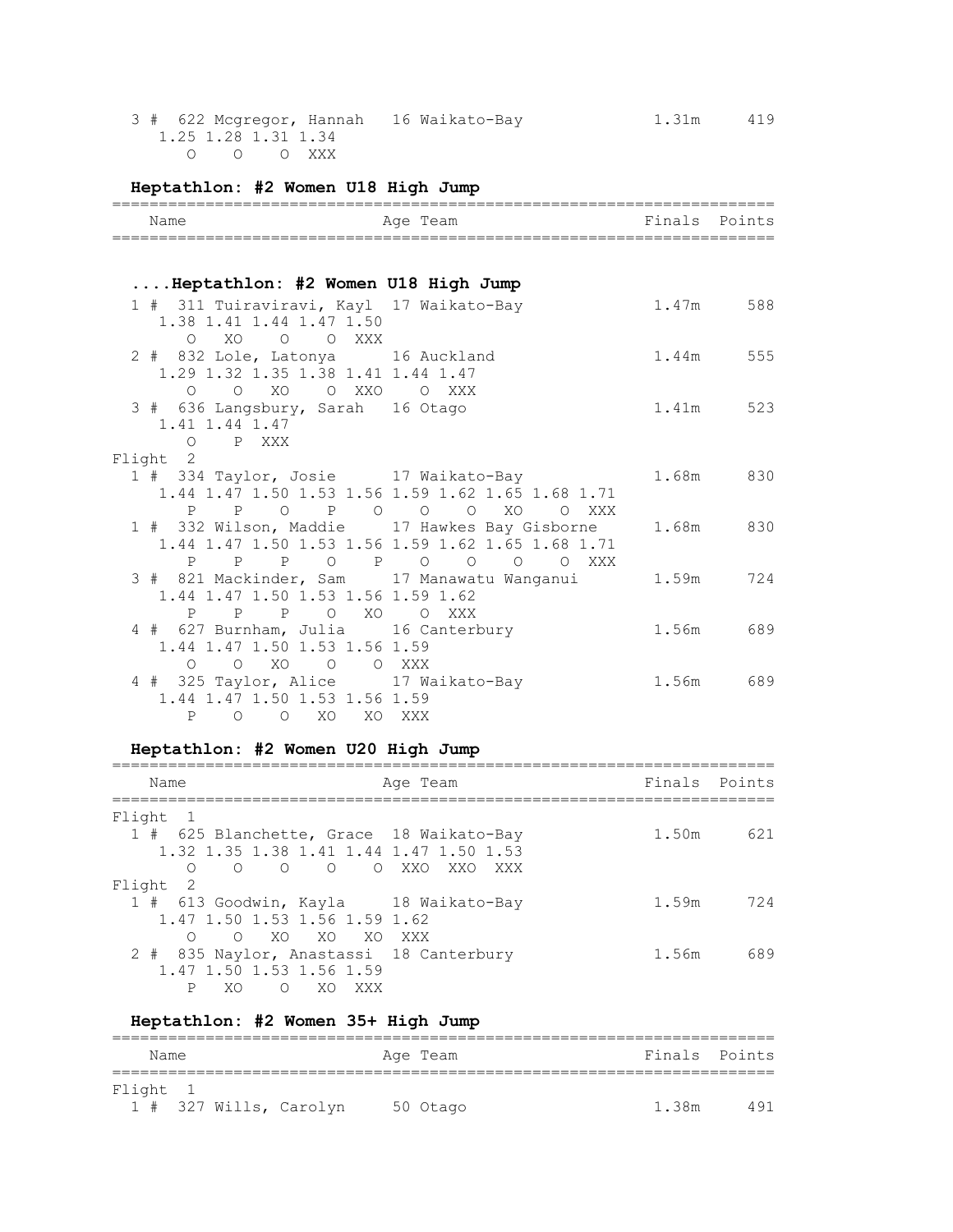3 # 622 Mcgregor, Hannah 16 Waikato-Bay 1.31m 419 1.25 1.28 1.31 1.34 O O O XXX

# **Heptathlon: #2 Women U18 High Jump**

| Name                                                                                                             | Age Team                                                                    |           | Finals Points |
|------------------------------------------------------------------------------------------------------------------|-----------------------------------------------------------------------------|-----------|---------------|
|                                                                                                                  |                                                                             |           |               |
| Heptathlon: #2 Women U18 High Jump                                                                               |                                                                             |           |               |
| 1 # 311 Tuiraviravi, Kayl 17 Waikato-Bay<br>1.38 1.41 1.44 1.47 1.50<br>O XO O O XXX                             |                                                                             | 1.47m 588 |               |
| 2 # 832 Lole, Latonya 16 Auckland<br>1.29 1.32 1.35 1.38 1.41 1.44 1.47<br>O O XO O XXO O XXX                    |                                                                             |           | 1.44m 555     |
| 3 # 636 Langsbury, Sarah 16 Otago<br>1.41 1.44 1.47<br>O PXXX                                                    |                                                                             |           | 1.41m 523     |
| Flight 2                                                                                                         |                                                                             |           |               |
| 1 # 334 Taylor, Josie 17 Waikato-Bay                                                                             | 1.44 1.47 1.50 1.53 1.56 1.59 1.62 1.65 1.68 1.71<br>P P O P O O O XO O XXX |           | 1.68m 830     |
| 1 # 332 Wilson, Maddie 17 Hawkes Bay Gisborne                                                                    | 1.44 1.47 1.50 1.53 1.56 1.59 1.62 1.65 1.68 1.71<br>P P P O P O O O O XXX  |           | 1.68m 830     |
| 3 # 821 Mackinder, Sam 17 Manawatu Wanganui<br>1.44 1.47 1.50 1.53 1.56 1.59 1.62<br>PPO XOO XXX<br>$\mathsf{P}$ |                                                                             |           | 1.59m 724     |
| 4 # 627 Burnham, Julia 16 Canterbury<br>1.44 1.47 1.50 1.53 1.56 1.59<br>0 0 XO 0 0 XXX                          |                                                                             |           | 1.56m 689     |
| 4 # 325 Taylor, Alice 17 Waikato-Bay<br>1.44 1.47 1.50 1.53 1.56 1.59<br>O O XO XO XXX<br>$\mathbf{P}$           |                                                                             | 1.56m 689 |               |

# **Heptathlon: #2 Women U20 High Jump**

| Name                                                                                | Age Team    | Finals Points |     |
|-------------------------------------------------------------------------------------|-------------|---------------|-----|
| Flight<br>$\mathbf{1}$                                                              |             |               |     |
| 1 # 625 Blanchette, Grace 18 Waikato-Bay<br>1.32 1.35 1.38 1.41 1.44 1.47 1.50 1.53 |             | 1.50m         | 621 |
| O O O XXO<br>$\bigcirc$<br>$\overline{O}$<br>Flight<br>$\overline{2}$               | XXO.<br>XXX |               |     |
|                                                                                     |             |               |     |
| 1 # 613 Goodwin, Kayla 18 Waikato-Bay                                               |             | 1.59m         | 724 |
| 1.47 1.50 1.53 1.56 1.59 1.62                                                       |             |               |     |
| O XO XO XO XXX<br>$\Omega$                                                          |             |               |     |
| 2 # 835 Naylor, Anastassi 18 Canterbury                                             |             | 1.56m         | 689 |
| 1.47 1.50 1.53 1.56 1.59                                                            |             |               |     |
| P<br>XO.<br>$\bigcap$<br>XO.<br>XXX                                                 |             |               |     |

# **Heptathlon: #2 Women 35+ High Jump**

| Name     |  |                        | Age Team |       | Finals Points |
|----------|--|------------------------|----------|-------|---------------|
|          |  |                        |          |       |               |
| Flight 1 |  |                        |          |       |               |
|          |  | 1 # 327 Wills, Carolyn | 50 Otago | 1.38m | 491           |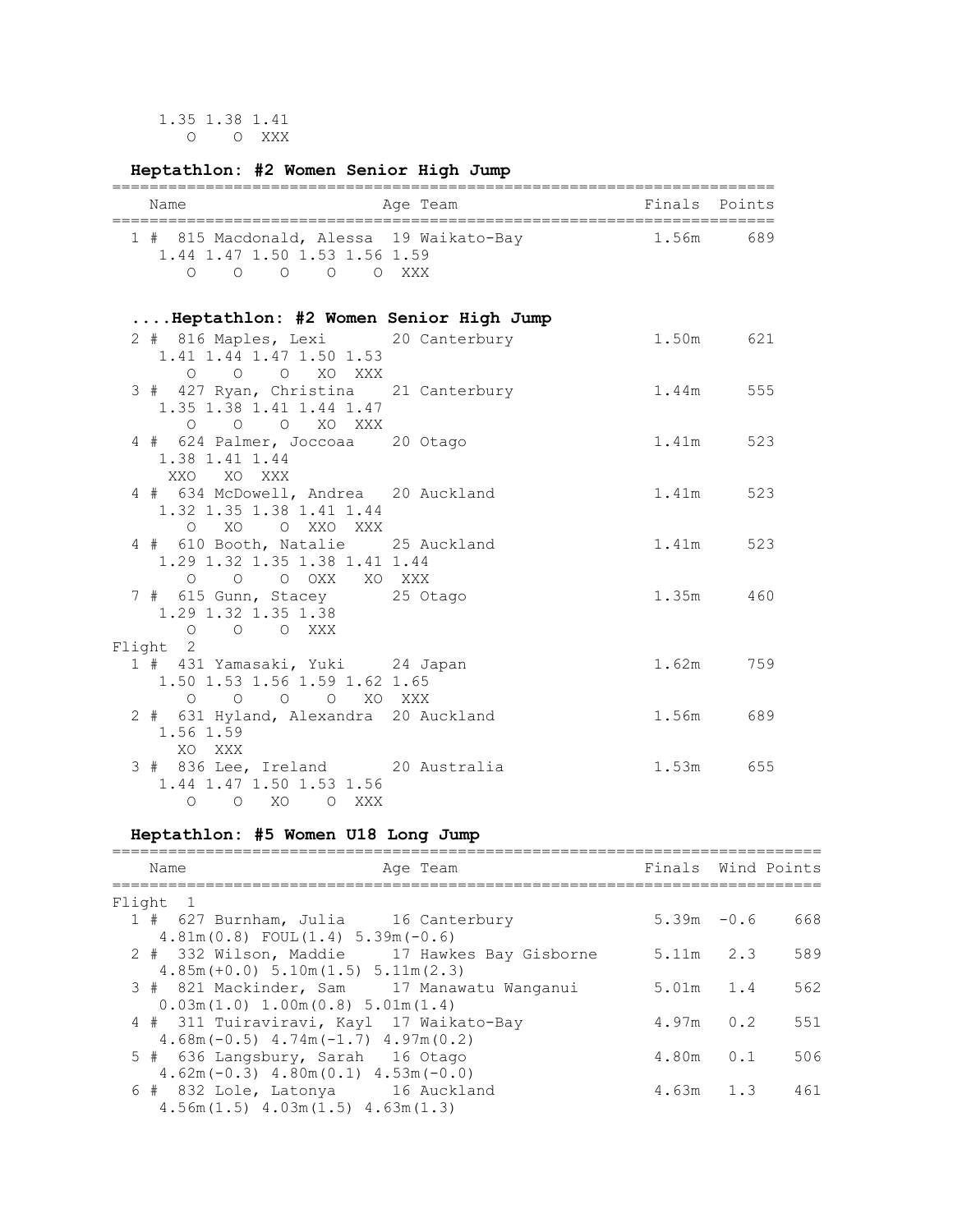1.35 1.38 1.41 O O XXX

# **Heptathlon: #2 Women Senior High Jump**

| Name |                                                                                |  | Age Team                                 |  |       | Finals Points |
|------|--------------------------------------------------------------------------------|--|------------------------------------------|--|-------|---------------|
|      | 1.44 1.47 1.50 1.53 1.56 1.59<br>$0 \quad 0 \quad 0 \quad 0 \quad 0 \quad XXX$ |  | 1 # 815 Macdonald, Alessa 19 Waikato-Bay |  | 1.56m | 689           |

# **....Heptathlon: #2 Women Senior High Jump**

| 2 # 816 Maples, Lexi 20 Canterbury<br>1.41 1.44 1.47 1.50 1.53<br>O O O XO XXX          | 1.50m 621 |  |
|-----------------------------------------------------------------------------------------|-----------|--|
| 3 # 427 Ryan, Christina 21 Canterbury<br>1.35 1.38 1.41 1.44 1.47<br>O O O XO XXX       | 1.44m 555 |  |
| 4 # 624 Palmer, Joccoaa 20 Otago<br>1.38 1.41 1.44<br>XXO XO XXX                        | 1.41m 523 |  |
| 4 # 634 McDowell, Andrea 20 Auckland<br>1.32 1.35 1.38 1.41 1.44<br>O XO O XXO XXX      | 1.41m 523 |  |
| 4 # 610 Booth, Natalie 25 Auckland<br>1.29 1.32 1.35 1.38 1.41 1.44<br>O O O OXX XO XXX | 1.41m 523 |  |
| 7 # 615 Gunn, Stacey 25 Otago<br>1.29 1.32 1.35 1.38<br>O O O XXX                       | 1.35m 460 |  |
| Flight 2                                                                                |           |  |
| 1 # 431 Yamasaki, Yuki 24 Japan<br>1.50 1.53 1.56 1.59 1.62 1.65<br>O O O O XO XXX      | 1.62m 759 |  |
| 2 # 631 Hyland, Alexandra 20 Auckland<br>1.56 1.59<br>XO XXX                            | 1.56m 689 |  |
| 3 # 836 Lee, Ireland 20 Australia<br>1.44 1.47 1.50 1.53 1.56<br>O O XO O XXX           | 1.53m 655 |  |

# **Heptathlon: #5 Women U18 Long Jump**

| Name<br>Age Team                                                                          | Finals Wind Points |     |     |
|-------------------------------------------------------------------------------------------|--------------------|-----|-----|
| Flight 1                                                                                  |                    |     |     |
| 1 # 627 Burnham, Julia 16 Canterbury                                                      | $5.39m - 0.6$      |     | 668 |
| $4.81m(0.8)$ FOUL $(1.4)$ 5.39m $(-0.6)$<br>2 # 332 Wilson, Maddie 17 Hawkes Bay Gisborne | $5.11m$ 2.3        |     | 589 |
| $4.85m (+0.0) 5.10m (1.5) 5.11m (2.3)$                                                    |                    |     |     |
| 3 # 821 Mackinder, Sam 17 Manawatu Wanganui<br>$0.03m(1.0)$ 1.00 $m(0.8)$ 5.01 $m(1.4)$   | $5.01m$ 1.4        |     | 562 |
| 4 # 311 Tuiraviravi, Kayl 17 Waikato-Bay                                                  | $4.97m$ 0.2        |     | 551 |
| $4.68$ m (-0.5) $4.74$ m (-1.7) $4.97$ m (0.2)                                            |                    |     |     |
| 5 # 636 Langsbury, Sarah 16 Otago<br>$4.62$ m (-0.3) $4.80$ m (0.1) $4.53$ m (-0.0)       | 4.80m              | 0.1 | 506 |
| 6 # 832 Lole, Latonya 16 Auckland<br>$4.56m(1.5)$ $4.03m(1.5)$ $4.63m(1.3)$               | $4.63m$ 1.3        |     | 461 |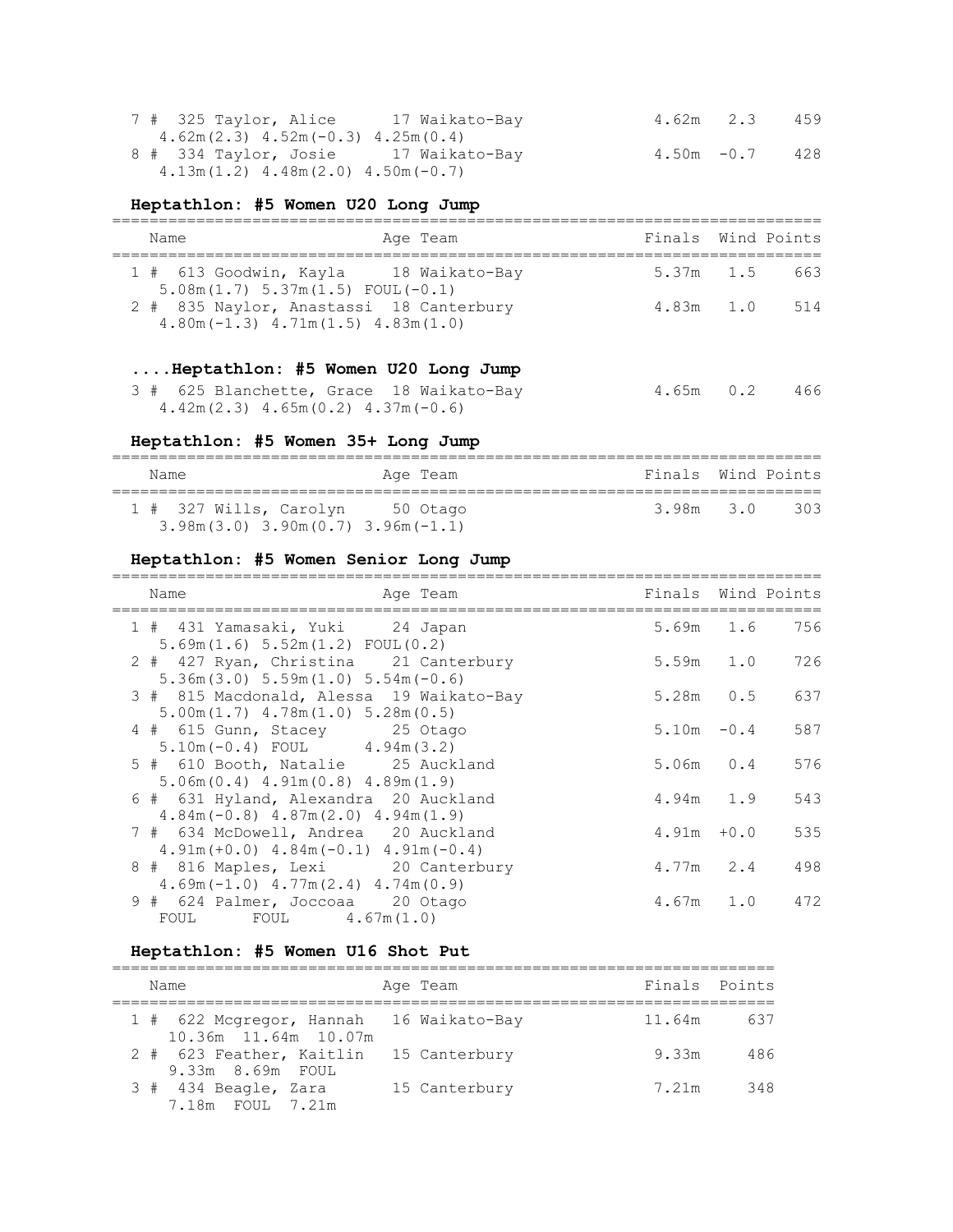| 7 # 325 Taylor, Alice 17 Waikato-Bay    | 4.62m 2.3     | 459 |
|-----------------------------------------|---------------|-----|
| $4.62m(2.3)$ $4.52m(-0.3)$ $4.25m(0.4)$ |               |     |
| 8 # 334 Taylor, Josie 17 Waikato-Bay    | $4.50m - 0.7$ | 428 |
| $4.13m(1.2)$ $4.48m(2.0)$ $4.50m(-0.7)$ |               |     |

# **Heptathlon: #5 Women U20 Long Jump**

| Name | Age Team                                                                                 | Finals Wind Points |     |
|------|------------------------------------------------------------------------------------------|--------------------|-----|
|      | 1 # 613 Goodwin, Kayla 18 Waikato-Bay<br>$5.08$ m $(1.7)$ $5.37$ m $(1.5)$ FOUL $(-0.1)$ | 5.37m 1.5          | 663 |
|      | 2 # 835 Naylor, Anastassi 18 Canterbury<br>$4.80$ m (-1.3) $4.71$ m (1.5) $4.83$ m (1.0) | $4.83m$ $1.0$      | 514 |

# **....Heptathlon: #5 Women U20 Long Jump**

|  | 3 # 625 Blanchette, Grace 18 Waikato-Bay | 4.65m 0.2 466 |  |
|--|------------------------------------------|---------------|--|
|  | $4.42m(2.3)$ $4.65m(0.2)$ $4.37m(-0.6)$  |               |  |

# **Heptathlon: #5 Women 35+ Long Jump**

| Name                                                              | Age Team | Finals Wind Points |     |
|-------------------------------------------------------------------|----------|--------------------|-----|
| 1 # 327 Wills, Carolyn<br>$3.98m(3.0)$ $3.90m(0.7)$ $3.96m(-1.1)$ | 50 Otago | 3.98m 3.0          | 303 |

# **Heptathlon: #5 Women Senior Long Jump**

| Name<br>Age Team                                                                               |                                                                                                                                                                                                                                                                                                             |                                                                                                                                                                     |
|------------------------------------------------------------------------------------------------|-------------------------------------------------------------------------------------------------------------------------------------------------------------------------------------------------------------------------------------------------------------------------------------------------------------|---------------------------------------------------------------------------------------------------------------------------------------------------------------------|
| 1 # 431 Yamasaki, Yuki 24 Japan                                                                |                                                                                                                                                                                                                                                                                                             |                                                                                                                                                                     |
| 2 # 427 Ryan, Christina 21 Canterbury                                                          |                                                                                                                                                                                                                                                                                                             |                                                                                                                                                                     |
| 3 # 815 Macdonald, Alessa 19 Waikato-Bay<br>$5.00$ m $(1.7)$ $4.78$ m $(1.0)$ $5.28$ m $(0.5)$ |                                                                                                                                                                                                                                                                                                             |                                                                                                                                                                     |
| 4 # 615 Gunn, Stacey 25 Otago                                                                  |                                                                                                                                                                                                                                                                                                             | 587                                                                                                                                                                 |
| 5 # 610 Booth, Natalie 25 Auckland                                                             |                                                                                                                                                                                                                                                                                                             | 576                                                                                                                                                                 |
| 6 # 631 Hyland, Alexandra 20 Auckland                                                          |                                                                                                                                                                                                                                                                                                             | 543                                                                                                                                                                 |
| 7 # 634 McDowell, Andrea 20 Auckland                                                           |                                                                                                                                                                                                                                                                                                             | 535                                                                                                                                                                 |
| 8 # 816 Maples, Lexi 20 Canterbury                                                             |                                                                                                                                                                                                                                                                                                             | 498                                                                                                                                                                 |
| 9 # 624 Palmer, Joccoaa 20 Otago<br>FOUL FOUL $4.67m(1.0)$                                     |                                                                                                                                                                                                                                                                                                             | 472                                                                                                                                                                 |
|                                                                                                | 5.69m(1.6) 5.52m(1.2) FOUL(0.2)<br>$5.36$ m $(3.0)$ $5.59$ m $(1.0)$ $5.54$ m $(-0.6)$<br>$5.10m(-0.4)$ FOUL $4.94m(3.2)$<br>$5.06m(0.4)$ 4.91 $m(0.8)$ 4.89 $m(1.9)$<br>$4.84m(-0.8)$ $4.87m(2.0)$ $4.94m(1.9)$<br>$4.91m (+0.0)$ $4.84m (-0.1)$ $4.91m (-0.4)$<br>$4.69m(-1.0)$ $4.77m(2.4)$ $4.74m(0.9)$ | Finals Wind Points<br>5.69m 1.6 756<br>5.59m 1.0 726<br>5.28m 0.5 637<br>$-0.4$<br>5.10m<br>$5.06m$ 0.4<br>$4.94m$ 1.9<br>$4.91m + 0.0$<br>$4.77m$ 2.4<br>4.67m 1.0 |

# **Heptathlon: #5 Women U16 Shot Put**

| Name                                                                  | Age Team      | Finals Points |     |
|-----------------------------------------------------------------------|---------------|---------------|-----|
| 1 # 622 Mcgregor, Hannah 16 Waikato-Bay<br>$10.36m$ $11.64m$ $10.07m$ |               | 11.64m        | 637 |
| 2 # 623 Feather, Kaitlin<br>9.33m 8.69m FOUL                          | 15 Canterbury | 9.33m         | 486 |
| 3 # 434 Beagle, Zara<br>7.18m FOUL 7.21m                              | 15 Canterbury | 7.21m         | 348 |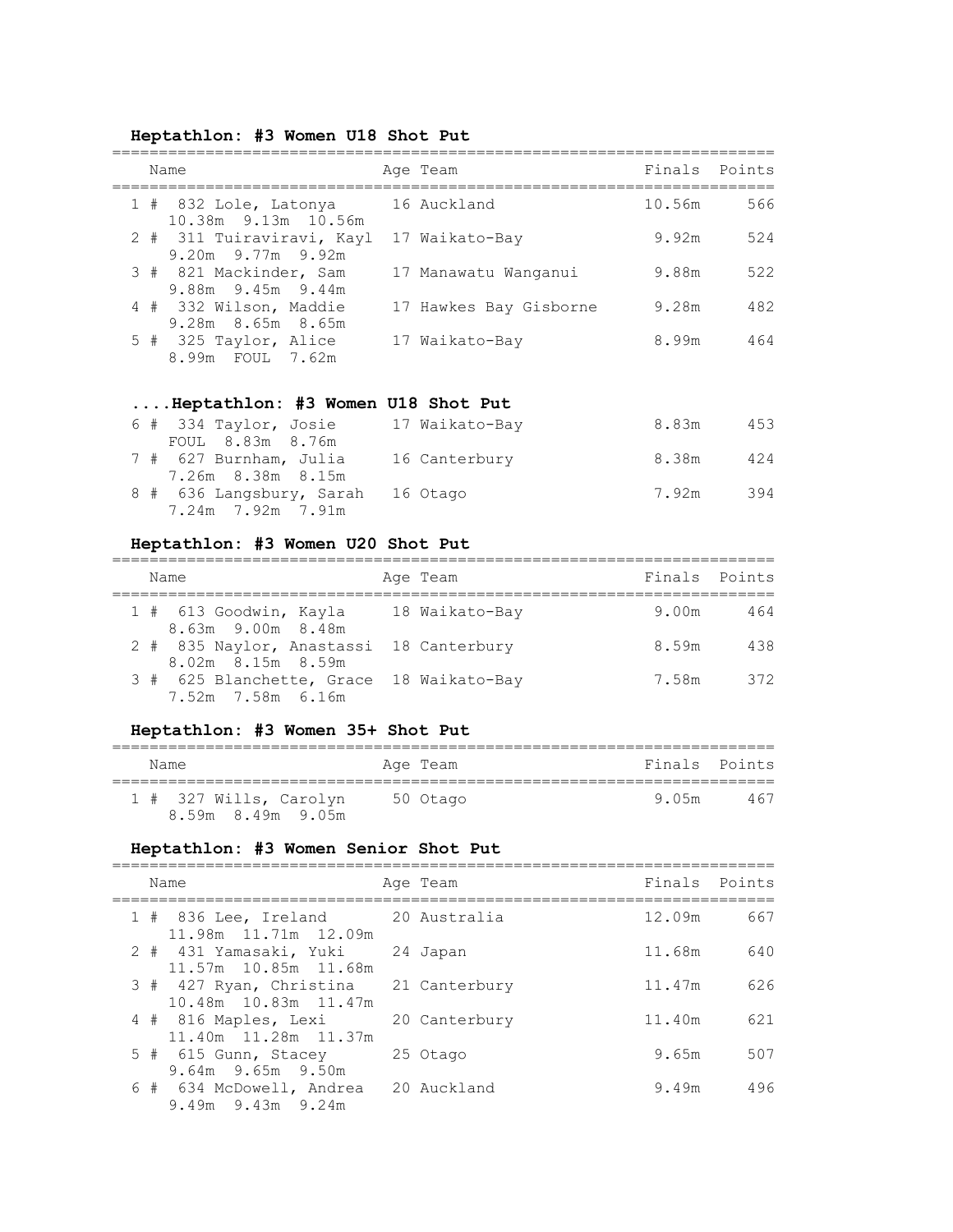#### **Heptathlon: #3 Women U18 Shot Put**

| Name                                                 | Age Team               |        | Finals Points |
|------------------------------------------------------|------------------------|--------|---------------|
| 1 # 832 Lole, Latonya<br>10.38m 9.13m 10.56m         | 16 Auckland            | 10.56m | 566           |
| 2 # 311 Tuiraviravi, Kayl<br>$9.20m$ $9.77m$ $9.92m$ | 17 Waikato-Bay         | 9.92m  | 524           |
| 3 # 821 Mackinder, Sam<br>9.88m 9.45m 9.44m          | 17 Manawatu Wanganui   | 9.88m  | 522           |
| 4 # 332 Wilson, Maddie<br>9.28m 8.65m 8.65m          | 17 Hawkes Bay Gisborne | 9.28m  | 482           |
| 5 # 325 Taylor, Alice<br>8.99m FOUL 7.62m            | 17 Waikato-Bay         | 8.99m  | 464           |

# **....Heptathlon: #3 Women U18 Shot Put**

| 6 # 334 Taylor, Josie    | 17 Waikato-Bay | 8.83m | 453 |
|--------------------------|----------------|-------|-----|
| FOUL 8.83m 8.76m         |                |       |     |
| 7 # 627 Burnham, Julia   | 16 Canterbury  | 8.38m | 424 |
| 7.26m 8.38m 8.15m        |                |       |     |
| 8 # 636 Langsbury, Sarah | 16 Otago       | 7.92m | 394 |
| 7.24m 7.92m 7.91m        |                |       |     |

#### **Heptathlon: #3 Women U20 Shot Put**

| Name                                                          | Age Team       | Finals Points |     |
|---------------------------------------------------------------|----------------|---------------|-----|
| 1 # 613 Goodwin, Kayla<br>8.63m 9.00m 8.48m                   | 18 Waikato-Bay | 9.00m         | 464 |
| 2 # 835 Naylor, Anastassi 18 Canterbury<br>8.02m 8.15m 8.59m  |                | 8.59m         | 438 |
| 3 # 625 Blanchette, Grace 18 Waikato-Bay<br>7.52m 7.58m 6.16m |                | 7.58m         | 372 |

# **Heptathlon: #3 Women 35+ Shot Put**

| Name                                        | Age Team | Finals Points |     |
|---------------------------------------------|----------|---------------|-----|
|                                             |          |               |     |
| 1 # 327 Wills, Carolyn<br>8.59m 8.49m 9.05m | 50 Otago | 9 N.5m        | 467 |

# **Heptathlon: #3 Women Senior Shot Put**

| Name                                                      | Age Team      | Finals | Points |
|-----------------------------------------------------------|---------------|--------|--------|
| 1 # 836 Lee, Ireland 20 Australia<br>11.98m 11.71m 12.09m |               | 12.09m | 667    |
| 2 # 431 Yamasaki, Yuki<br>11.57m 10.85m 11.68m            | 24 Japan      | 11.68m | 640    |
| 3 # 427 Ryan, Christina<br>10.48m 10.83m 11.47m           | 21 Canterbury | 11.47m | 626    |
| 4 # 816 Maples, Lexi<br>11.40m 11.28m 11.37m              | 20 Canterbury | 11.40m | 621    |
| 5 # 615 Gunn, Stacey<br>9.64m 9.65m 9.50m                 | 25 Otago      | 9.65m  | 507    |
| 6 # 634 McDowell, Andrea<br>$9.49m$ $9.43m$ $9.24m$       | 20 Auckland   | 9.49m  | 496    |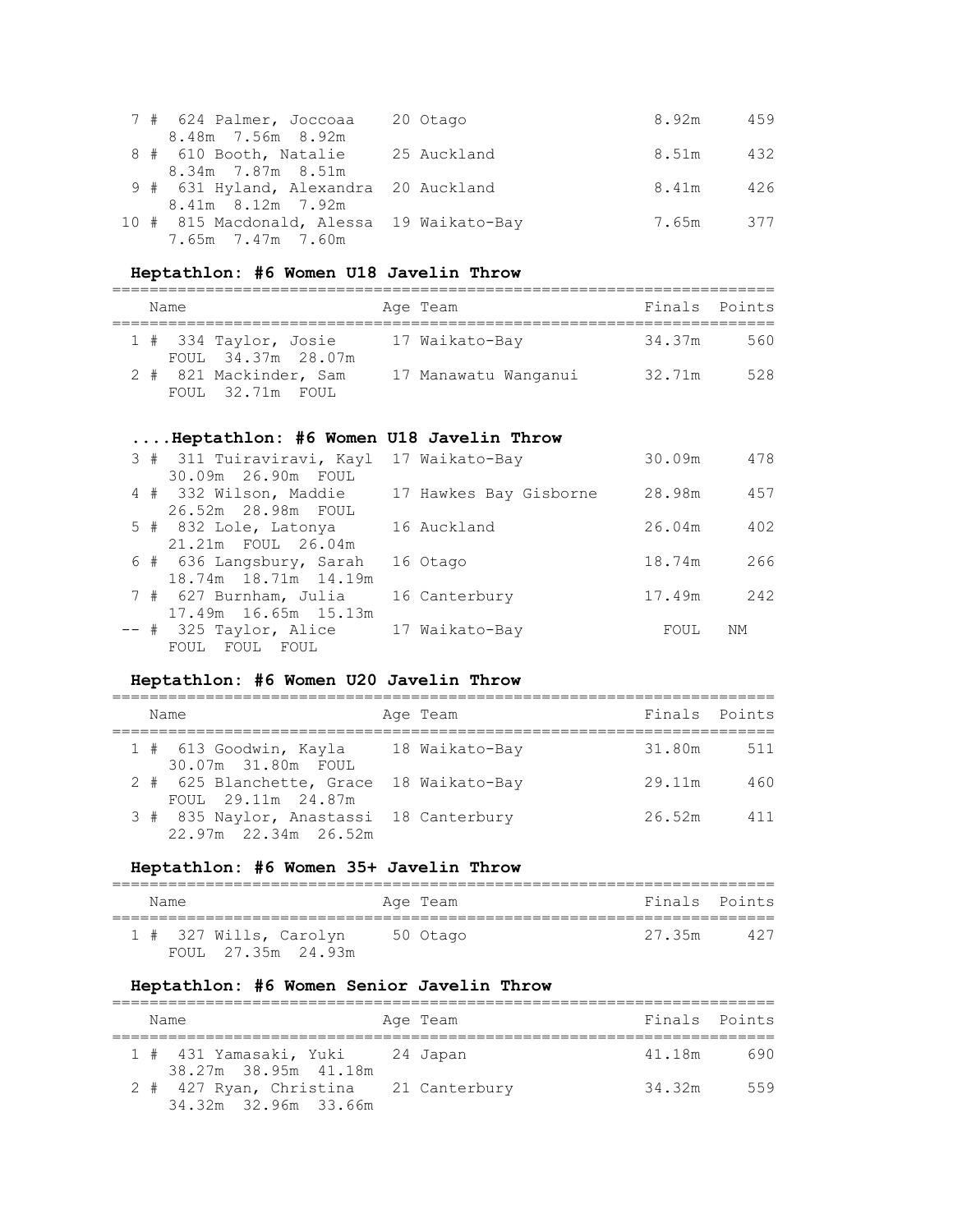|  | 7 # 624 Palmer, Joccoaa                   | 20 Otago | 8.92m     | 459   |
|--|-------------------------------------------|----------|-----------|-------|
|  | 8.48m 7.56m 8.92m                         |          |           |       |
|  | 8 # 610 Booth, Natalie 25 Auckland        |          | 8.51m     | 432   |
|  | 8.34m 7.87m 8.51m                         |          |           |       |
|  | 9 # 631 Hyland, Alexandra 20 Auckland     |          | 8.41m     | - 426 |
|  | 8.41m 8.12m 7.92m                         |          | 7.65m 377 |       |
|  | 10 # 815 Macdonald, Alessa 19 Waikato-Bay |          |           |       |
|  | 7.65m 7.47m 7.60m                         |          |           |       |

# **Heptathlon: #6 Women U18 Javelin Throw**

| Name |                                               | Age Team             | Finals Points |     |
|------|-----------------------------------------------|----------------------|---------------|-----|
|      | $1$ # 334 Taylor, Josie<br>FOUL 34.37m 28.07m | 17 Waikato-Bay       | 34.37m        | 560 |
|      | 2 # 821 Mackinder, Sam<br>FOUL 32.71m FOUL    | 17 Manawatu Wanganui | 32.71m        | 528 |

# **....Heptathlon: #6 Women U18 Javelin Throw**

|  | 3 # 311 Tuiraviravi, Kayl                        | 17 Waikato-Bay         | 30.09m | 478 |
|--|--------------------------------------------------|------------------------|--------|-----|
|  | 30.09m 26.90m FOUL<br>4 # 332 Wilson, Maddie     | 17 Hawkes Bay Gisborne | 28.98m | 457 |
|  | 26.52m 28.98m FOUL<br>5 # 832 Lole, Latonya      | 16 Auckland            | 26.04m | 402 |
|  | 21.21m FOUL 26.04m                               |                        |        |     |
|  | 6 # 636 Langsbury, Sarah<br>18.74m 18.71m 14.19m | 16 Otago               | 18.74m | 266 |
|  | 7 # 627 Burnham, Julia<br>17.49m 16.65m 15.13m   | 16 Canterbury          | 17.49m | 242 |
|  | -- # 325 Taylor, Alice<br>FOUL FOUL<br>FOUL      | 17 Waikato-Bay         | FOUL   | NΜ  |

# **Heptathlon: #6 Women U20 Javelin Throw**

| Name                                                            | Age Team       | Finals Points |     |
|-----------------------------------------------------------------|----------------|---------------|-----|
| 1 # 613 Goodwin, Kayla<br>30.07m 31.80m FOUL                    | 18 Waikato-Bay | 31.80m        | 511 |
| 2 # 625 Blanchette, Grace 18 Waikato-Bay<br>FOUL 29.11m 24.87m  |                | 29.11m        | 460 |
| 3 # 835 Naylor, Anastassi 18 Canterbury<br>22.97m 22.34m 26.52m |                | 26.52m        | 411 |

# **Heptathlon: #6 Women 35+ Javelin Throw**

| Name                                         | Age Team | Finals Points |     |
|----------------------------------------------|----------|---------------|-----|
| 1 # 327 Wills, Carolyn<br>FOUL 27.35m 24.93m | 50 Otago | 27.35m        | 427 |

# **Heptathlon: #6 Women Senior Javelin Throw**

| Name                                                          | Age Team | Finals Points |     |
|---------------------------------------------------------------|----------|---------------|-----|
| 1 # 431 Yamasaki, Yuki 24 Japan<br>38.27m 38.95m 41.18m       |          | 41.18m        | 690 |
| 2 # 427 Ryan, Christina 21 Canterbury<br>34.32m 32.96m 33.66m |          | 34.32m        | 559 |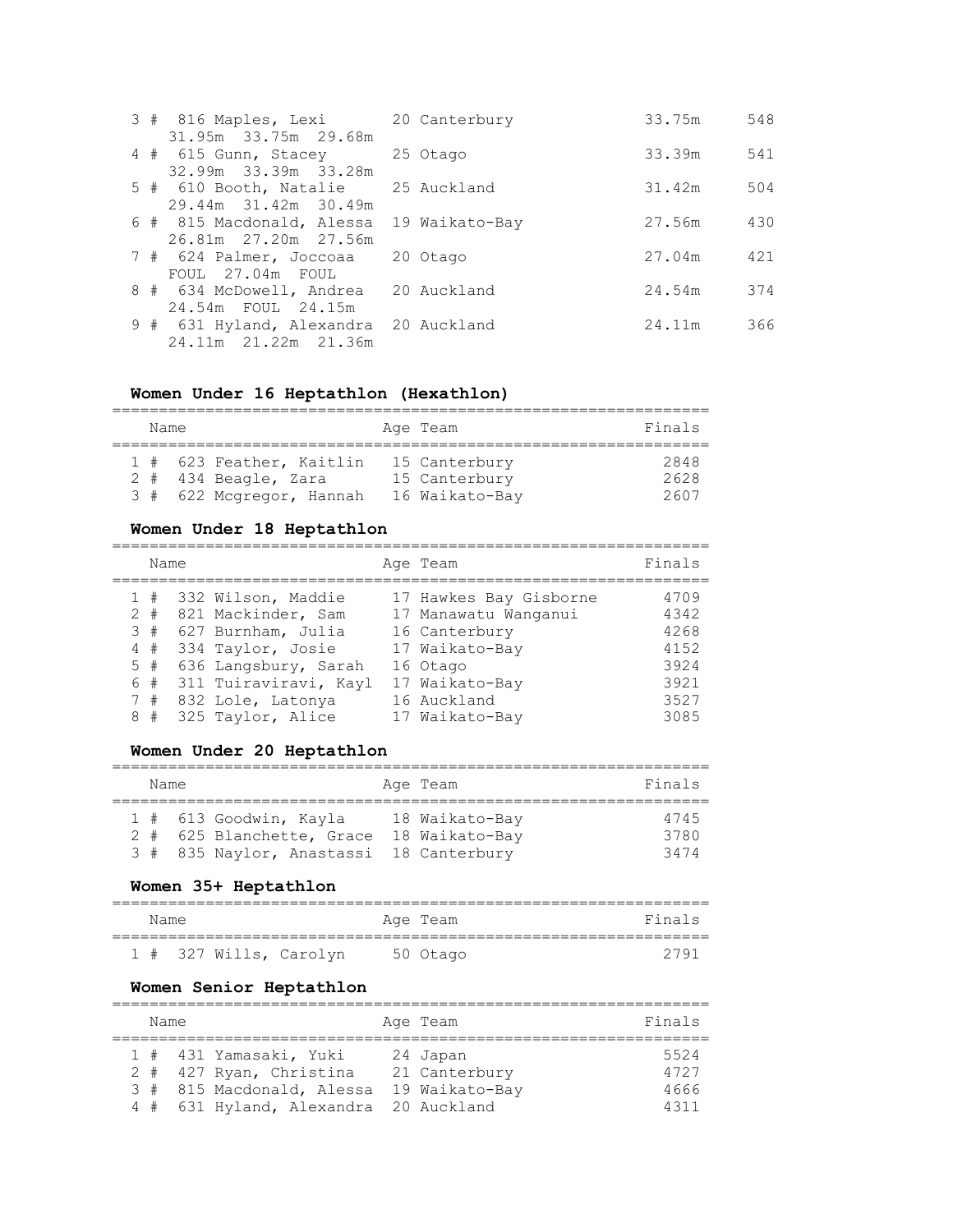| 3 # 816 Maples, Lexi                     | 20 Canterbury | 33.75m | 548 |
|------------------------------------------|---------------|--------|-----|
| 31.95m 33.75m 29.68m                     |               |        |     |
| 4 # 615 Gunn, Stacey                     | 25 Otago      | 33.39m | 541 |
| 32.99m 33.39m 33.28m                     |               |        |     |
| 5 # 610 Booth, Natalie 25 Auckland       |               | 31.42m | 504 |
| 29.44m 31.42m 30.49m                     |               |        |     |
| 6 # 815 Macdonald, Alessa 19 Waikato-Bay |               | 27.56m | 430 |
| 26.81m 27.20m 27.56m                     |               |        |     |
| 7 # 624 Palmer, Joccoaa                  | 20 Otago      | 27.04m | 421 |
| FOUL 27.04m FOUL                         |               |        |     |
| 8 # 634 McDowell, Andrea                 | 20 Auckland   | 24.54m | 374 |
| 24.54m FOUL 24.15m                       |               |        |     |
| 9 # 631 Hyland, Alexandra 20 Auckland    |               | 24.11m | 366 |
| 24.11m 21.22m 21.36m                     |               |        |     |

# **Women Under 16 Heptathlon (Hexathlon)**

|  | Name |                          |  | Age Team       | Finals |  |  |  |  |
|--|------|--------------------------|--|----------------|--------|--|--|--|--|
|  |      |                          |  |                |        |  |  |  |  |
|  |      | 1 # 623 Feather, Kaitlin |  | 15 Canterbury  | 2848   |  |  |  |  |
|  |      | $2$ # 434 Beagle, Zara   |  | 15 Canterbury  | 2628   |  |  |  |  |
|  |      | 3 # 622 Mcgregor, Hannah |  | 16 Waikato-Bay | 2607   |  |  |  |  |

# **Women Under 18 Heptathlon**

|   | Name  |                       | Age Team               | Finals |
|---|-------|-----------------------|------------------------|--------|
|   | 1#    | 332 Wilson, Maddie    | 17 Hawkes Bay Gisborne | 4709   |
|   | $2 +$ | 821 Mackinder, Sam    | 17 Manawatu Wanganui   | 4342   |
|   | 3#    | 627 Burnham, Julia    | 16 Canterbury          | 4268   |
|   | 4#    | 334 Taylor, Josie     | 17 Waikato-Bay         | 4152   |
|   | $5$ # | 636 Langsbury, Sarah  | 16 Otago               | 3924   |
|   | 6#    | 311 Tuiraviravi, Kayl | 17 Waikato-Bay         | 3921   |
|   | 7#    | 832 Lole, Latonya     | 16 Auckland            | 3527   |
| 8 | #     | 325 Taylor, Alice     | 17 Waikato-Bay         | 3085   |

# **Women Under 20 Heptathlon**

|  | Name |                                         | Age Team       | Finals |
|--|------|-----------------------------------------|----------------|--------|
|  |      | 1 # 613 Goodwin, Kayla                  | 18 Waikato-Bay | 4745   |
|  |      | 2 # 625 Blanchette, Grace               | 18 Waikato-Bay | 3780   |
|  |      | 3 # 835 Naylor, Anastassi 18 Canterbury |                | 3474   |

# **Women 35+ Heptathlon**

| Name |  |                        | Age Team | Finals |
|------|--|------------------------|----------|--------|
|      |  | 1 # 327 Wills, Carolyn | 50 Otago | 2791   |

# **Women Senior Heptathlon**

|  | Name |                                       |  | Age Team       | Finals |  |  |  |  |
|--|------|---------------------------------------|--|----------------|--------|--|--|--|--|
|  |      | 1 # 431 Yamasaki, Yuki                |  | 24 Japan       | 5524   |  |  |  |  |
|  |      | 2 # 427 Ryan, Christina               |  | 21 Canterbury  | 4727   |  |  |  |  |
|  |      | 3 # 815 Macdonald, Alessa             |  | 19 Waikato-Bay | 4666   |  |  |  |  |
|  |      | 4 # 631 Hyland, Alexandra 20 Auckland |  |                | 4311   |  |  |  |  |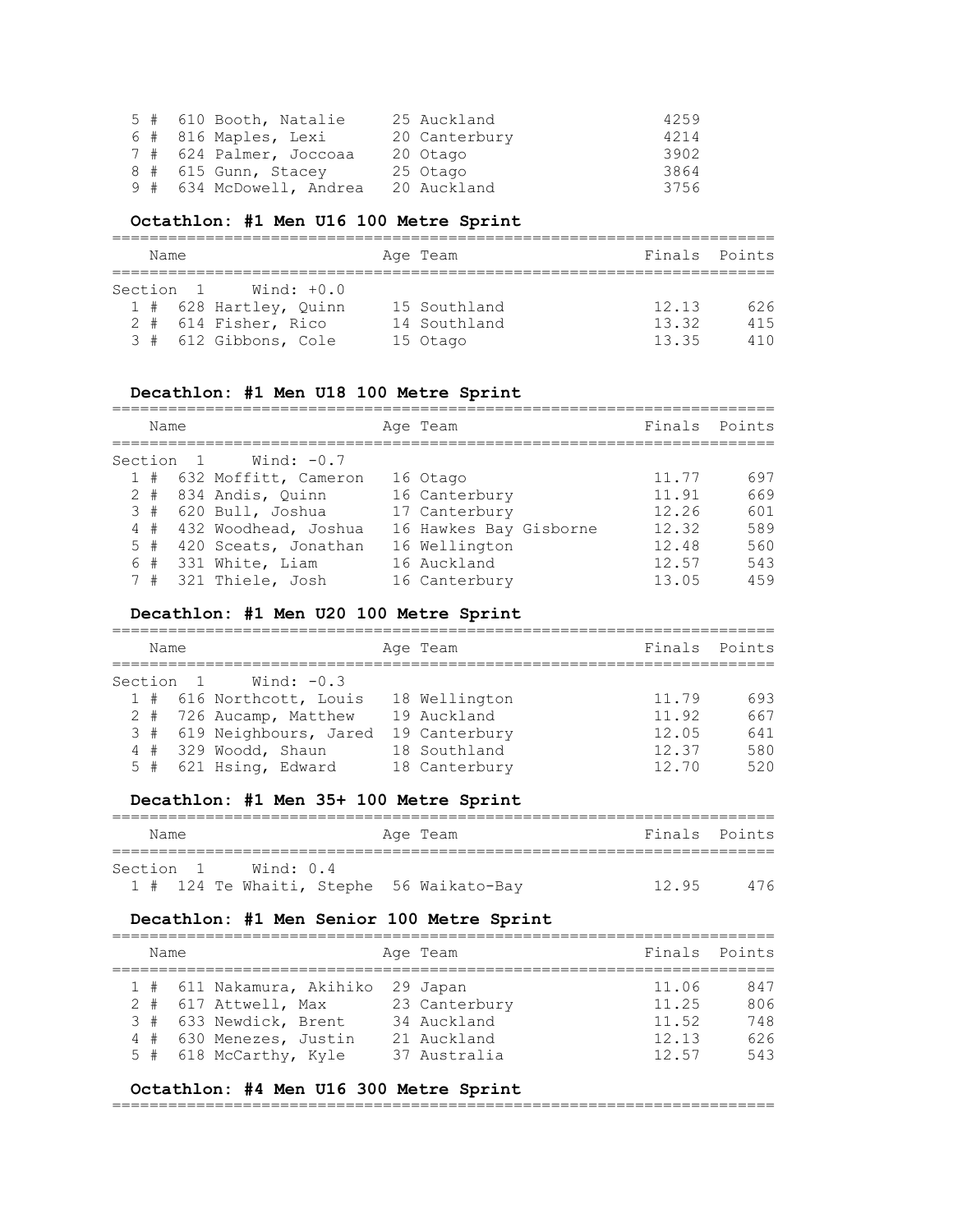|  | 5 # 610 Booth, Natalie   | 25 Auckland   | 4259 |
|--|--------------------------|---------------|------|
|  | 6 # 816 Maples, Lexi     | 20 Canterbury | 4214 |
|  | 7 # 624 Palmer, Joccoaa  | 20 Otago      | 3902 |
|  | 8 # 615 Gunn, Stacey     | 25 Otago      | 3864 |
|  | 9 # 634 McDowell, Andrea | 20 Auckland   | 3756 |

#### **Octathlon: #1 Men U16 100 Metre Sprint**

| Name |  |           |                        | Age Team     | Finals Points |     |
|------|--|-----------|------------------------|--------------|---------------|-----|
|      |  | Section 1 | Wind: $+0.0$           |              |               |     |
|      |  |           | 1 # 628 Hartley, Quinn | 15 Southland | 12.13         | 626 |
|      |  |           | 2 # 614 Fisher, Rico   | 14 Southland | 13.32         | 415 |
|      |  |           | 3 # 612 Gibbons, Cole  | 15 Otago     | 13.35         | 410 |

# **Decathlon: #1 Men U18 100 Metre Sprint**

| Name |       |           |                          | Age Team               | Finals | Points |
|------|-------|-----------|--------------------------|------------------------|--------|--------|
|      |       | Section 1 | Wind: $-0.7$             |                        |        |        |
|      |       |           | 1 # 632 Moffitt, Cameron | 16 Otago               | 11.77  | 697    |
|      |       |           | 2 # 834 Andis, Quinn     | 16 Canterbury          | 11.91  | 669    |
|      |       |           | $3#620$ Bull, Joshua     | 17 Canterbury          | 12.26  | 601    |
|      |       |           | 4 # 432 Woodhead, Joshua | 16 Hawkes Bay Gisborne | 12.32  | 589    |
|      | $5$ # |           | 420 Sceats, Jonathan     | 16 Wellington          | 12.48  | 560    |
|      | 6#    |           | 331 White, Liam          | 16 Auckland            | 12.57  | 543    |
|      |       |           | 7 # 321 Thiele, Josh     | 16 Canterbury          | 13.05  | 459    |

# **Decathlon: #1 Men U20 100 Metre Sprint**

| Name |           |                           | Age Team      | Finals Points |     |
|------|-----------|---------------------------|---------------|---------------|-----|
|      | Section 1 | Wind: $-0.3$              |               |               |     |
|      |           | 1 # 616 Northcott, Louis  | 18 Wellington | 11.79         | 693 |
|      |           | 2 # 726 Aucamp, Matthew   | 19 Auckland   | 11.92         | 667 |
|      |           | 3 # 619 Neighbours, Jared | 19 Canterbury | 12.05         | 641 |
|      |           | $4#329$ Woodd, Shaun      | 18 Southland  | 12.37         | 580 |
|      |           | 5 # 621 Hsing, Edward     | 18 Canterbury | 12 70         | 520 |

# **Decathlon: #1 Men 35+ 100 Metre Sprint**

| Name |           |           |  | Age Team                                 |       | Finals Points |
|------|-----------|-----------|--|------------------------------------------|-------|---------------|
|      |           |           |  |                                          |       |               |
|      | Section 1 | Wind: 0.4 |  |                                          |       |               |
|      |           |           |  | 1 # 124 Te Whaiti, Stephe 56 Waikato-Bay | 12.95 | 476           |

# **Decathlon: #1 Men Senior 100 Metre Sprint**

| Finals Points<br>Age Team<br>Name                                                                                                                                                                                                                     |                                 |
|-------------------------------------------------------------------------------------------------------------------------------------------------------------------------------------------------------------------------------------------------------|---------------------------------|
| 1 # 611 Nakamura, Akihiko 29 Japan<br>11.06<br>2 # 617 Attwell, Max<br>23 Canterbury<br>11.25<br>3 # 633 Newdick, Brent<br>34 Auckland<br>11.52<br>12.13<br>4 # 630 Menezes, Justin<br>21 Auckland<br>5 # 618 McCarthy, Kyle<br>12.57<br>37 Australia | 847<br>806<br>748<br>626<br>543 |

#### **Octathlon: #4 Men U16 300 Metre Sprint**

=======================================================================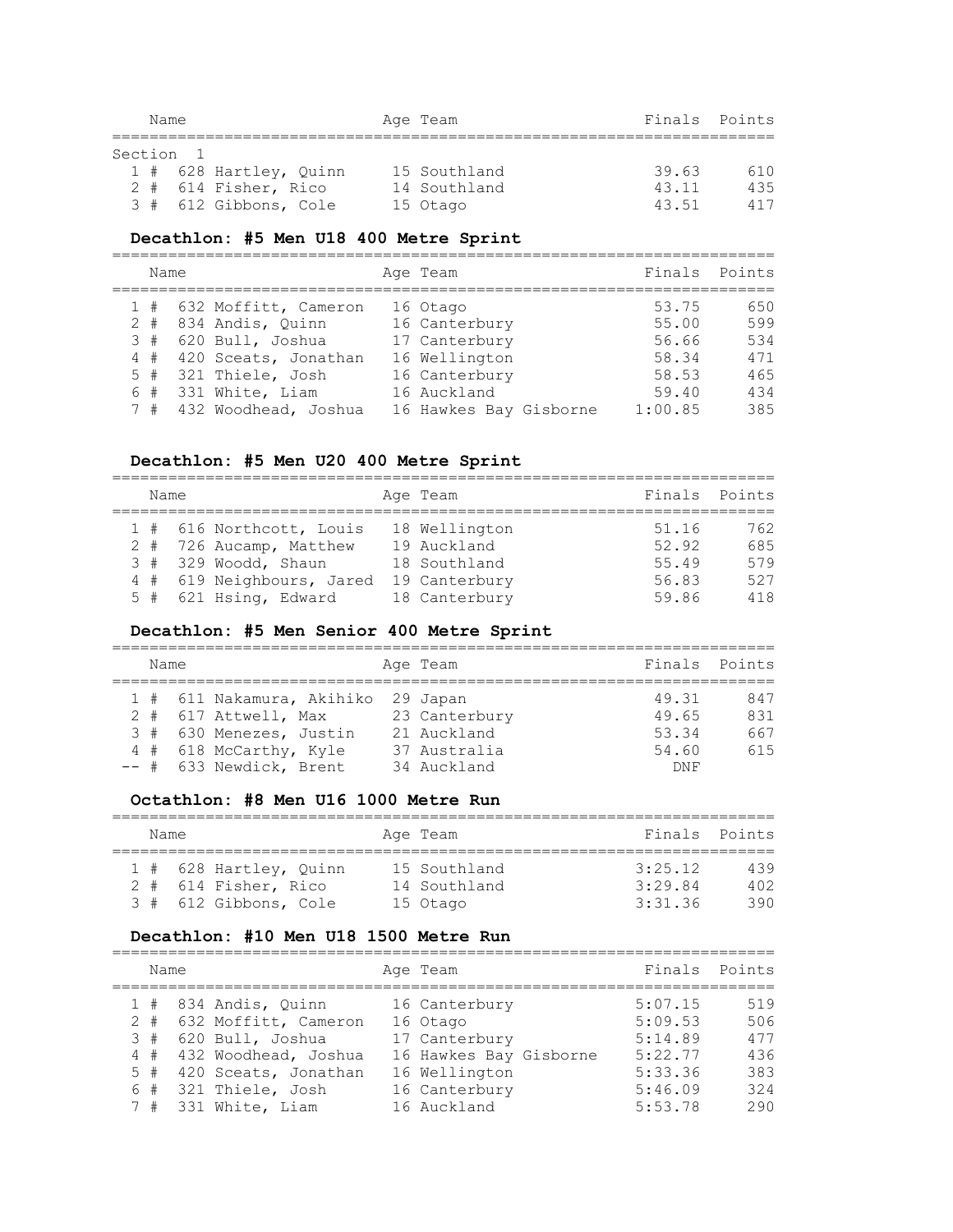|           | Name |                        | Age Team     | Finals Points |     |
|-----------|------|------------------------|--------------|---------------|-----|
| Section 1 |      |                        |              |               |     |
|           |      | 1 # 628 Hartley, Quinn | 15 Southland | 39.63         | 610 |
|           |      | 2 # 614 Fisher, Rico   | 14 Southland | 43.11         | 435 |
|           |      | 3 # 612 Gibbons, Cole  | 15 Otago     | 43.51         | 417 |

#### **Decathlon: #5 Men U18 400 Metre Sprint**

|       |  |                          | Age Team               | Finals  | Points |
|-------|--|--------------------------|------------------------|---------|--------|
| Name  |  |                          |                        |         |        |
|       |  | 1 # 632 Moffitt, Cameron | 16 Otago               | 53.75   | 650    |
| $2 +$ |  | 834 Andis, Quinn         | 16 Canterbury          | 55.00   | 599    |
|       |  | $3#620$ Bull, Joshua     | 17 Canterbury          | 56.66   | 534    |
|       |  | 4 # 420 Sceats, Jonathan | 16 Wellington          | 58.34   | 471    |
| 5#    |  | 321 Thiele, Josh         | 16 Canterbury          | 58.53   | 465    |
| 6#    |  | 331 White, Liam          | 16 Auckland            | 59.40   | 434    |
| 7#    |  | 432 Woodhead, Joshua     | 16 Hawkes Bay Gisborne | 1:00.85 | 385    |

# **Decathlon: #5 Men U20 400 Metre Sprint**

| Name |  |                           |  | Age Team      | Finals Points |     |  |  |  |  |  |
|------|--|---------------------------|--|---------------|---------------|-----|--|--|--|--|--|
|      |  |                           |  |               |               |     |  |  |  |  |  |
|      |  | 1 # 616 Northcott, Louis  |  | 18 Wellington | 51.16         | 762 |  |  |  |  |  |
|      |  | 2 # 726 Aucamp, Matthew   |  | 19 Auckland   | 52.92         | 685 |  |  |  |  |  |
|      |  | $3#329$ Woodd, Shaun      |  | 18 Southland  | 55.49         | 579 |  |  |  |  |  |
|      |  | 4 # 619 Neighbours, Jared |  | 19 Canterbury | 56.83         | 527 |  |  |  |  |  |
|      |  | 5 # 621 Hsing, Edward     |  | 18 Canterbury | 59.86         | 418 |  |  |  |  |  |

# **Decathlon: #5 Men Senior 400 Metre Sprint**

| Name |  |                                    |  | Age Team      |            | Finals Points |  |  |  |  |
|------|--|------------------------------------|--|---------------|------------|---------------|--|--|--|--|
|      |  |                                    |  |               |            |               |  |  |  |  |
|      |  | 1 # 611 Nakamura, Akihiko 29 Japan |  |               | 49.31      | 847           |  |  |  |  |
|      |  | 2 # 617 Attwell, Max               |  | 23 Canterbury | 49.65      | 831           |  |  |  |  |
|      |  | 3 # 630 Menezes, Justin            |  | 21 Auckland   | 53.34      | 667           |  |  |  |  |
|      |  | 4 # 618 McCarthy, Kyle             |  | 37 Australia  | 54.60      | 615           |  |  |  |  |
|      |  | -- # 633 Newdick, Brent            |  | 34 Auckland   | <b>DNF</b> |               |  |  |  |  |

#### **Octathlon: #8 Men U16 1000 Metre Run**

| Name |  |                                                |  | Age Team                     | Finals Points      |            |  |  |  |  |  |
|------|--|------------------------------------------------|--|------------------------------|--------------------|------------|--|--|--|--|--|
|      |  | 1 # 628 Hartley, Ouinn<br>2 # 614 Fisher, Rico |  | 15 Southland<br>14 Southland | 3:25.12<br>3:29.84 | 439<br>402 |  |  |  |  |  |
|      |  | 3 # 612 Gibbons, Cole                          |  | 15 Otago                     | 3:31.36            | 390.       |  |  |  |  |  |

# **Decathlon: #10 Men U18 1500 Metre Run**

| Name |  |                          | Age Team               |         | Finals Points |
|------|--|--------------------------|------------------------|---------|---------------|
|      |  | 1 # 834 Andis, Ouinn     | 16 Canterbury          | 5:07.15 | 519           |
|      |  | 2 # 632 Moffitt, Cameron | 16 Otago               | 5:09.53 | 506           |
|      |  | 3 # 620 Bull, Joshua     | 17 Canterbury          | 5:14.89 | 477           |
|      |  | 4 # 432 Woodhead, Joshua | 16 Hawkes Bay Gisborne | 5:22.77 | 436           |
|      |  | 5 # 420 Sceats, Jonathan | 16 Wellington          | 5:33.36 | 383           |
|      |  | 6 # 321 Thiele, Josh     | 16 Canterbury          | 5:46.09 | 324           |
|      |  | 7 # 331 White, Liam      | 16 Auckland            | 5:53.78 | 290           |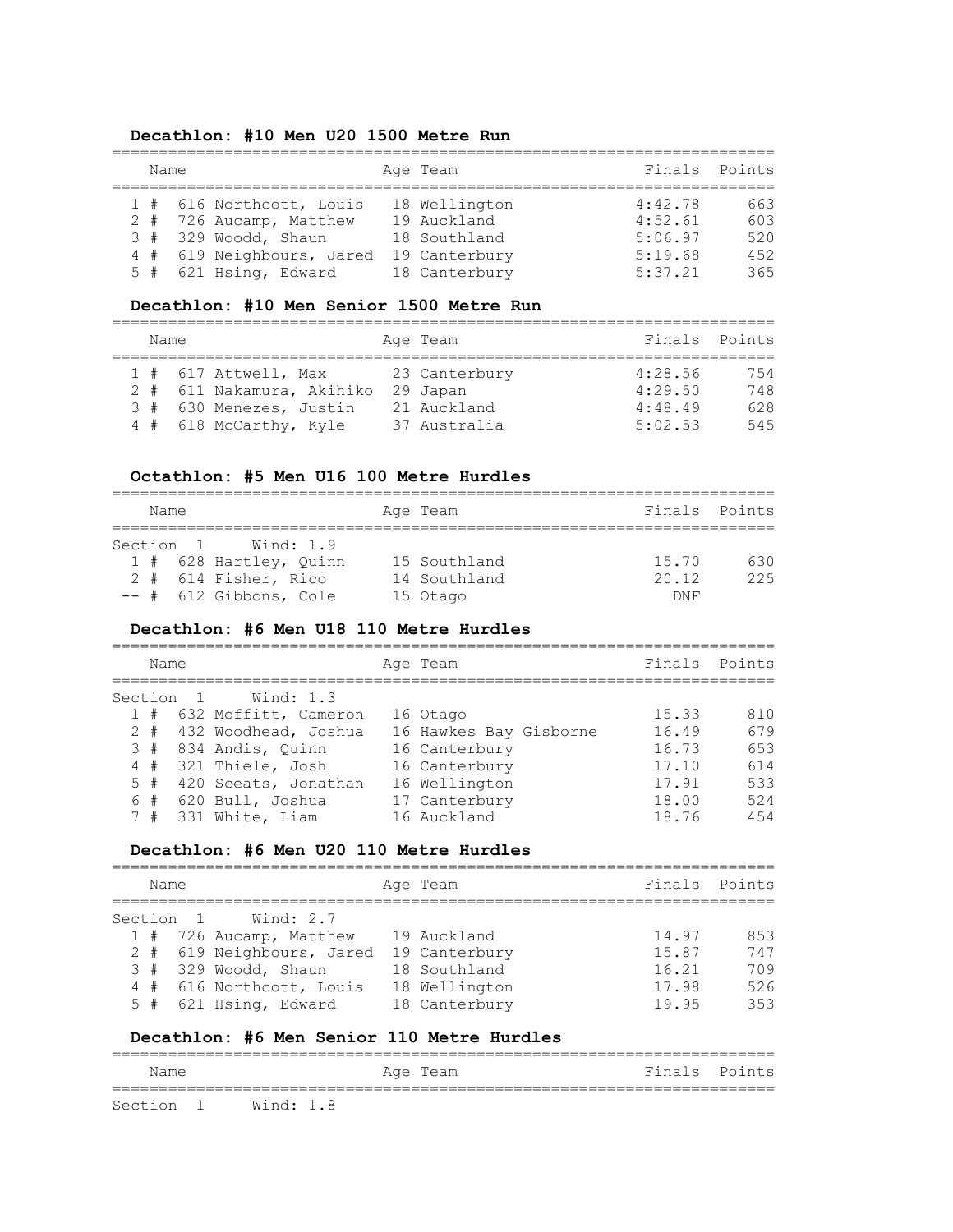#### **Decathlon: #10 Men U20 1500 Metre Run**

| Name |                                                                                                                                   | Age Team                                                                       |                                                     | Finals Points                   |
|------|-----------------------------------------------------------------------------------------------------------------------------------|--------------------------------------------------------------------------------|-----------------------------------------------------|---------------------------------|
|      | 1 # 616 Northcott, Louis<br>2 # 726 Aucamp, Matthew<br>$3#329$ Woodd, Shaun<br>4 # 619 Neighbours, Jared<br>5 # 621 Hsing, Edward | 18 Wellington<br>19 Auckland<br>18 Southland<br>19 Canterbury<br>18 Canterbury | 4:42.78<br>4:52.61<br>5:06.97<br>5:19.68<br>5:37.21 | 663<br>603<br>520<br>452<br>365 |

#### **Decathlon: #10 Men Senior 1500 Metre Run**

| Name |                                                                                                          | Age Team                                                 | Finals Points                            |                          |
|------|----------------------------------------------------------------------------------------------------------|----------------------------------------------------------|------------------------------------------|--------------------------|
|      | $1$ # 617 Attwell, Max<br>2 # 611 Nakamura, Akihiko<br>3 # 630 Menezes, Justin<br>4 # 618 McCarthy, Kyle | 23 Canterbury<br>29 Japan<br>21 Auckland<br>37 Australia | 4:28.56<br>4:29.50<br>4:48.49<br>5:02.53 | 754<br>748<br>628<br>545 |

#### **Octathlon: #5 Men U16 100 Metre Hurdles**

| Name |                        | Age Team     | Finals Points |     |
|------|------------------------|--------------|---------------|-----|
|      |                        |              |               |     |
|      | Section 1 Wind: 1.9    |              |               |     |
|      | 1 # 628 Hartley, Ouinn | 15 Southland | 15.70         | 630 |
|      | 2 # 614 Fisher, Rico   | 14 Southland | 20.12         | 225 |
|      | -- # 612 Gibbons, Cole | 15 Otago     | DNF           |     |

#### **Decathlon: #6 Men U18 110 Metre Hurdles**

| Name |           |                          | Age Team               | Finals Points |     |
|------|-----------|--------------------------|------------------------|---------------|-----|
|      | Section 1 | Wind: 1.3                |                        |               |     |
|      |           | 1 # 632 Moffitt, Cameron | 16 Otago               | 15.33         | 810 |
|      |           | 2 # 432 Woodhead, Joshua | 16 Hawkes Bay Gisborne | 16.49         | 679 |
|      |           | 3 # 834 Andis, Quinn     | 16 Canterbury          | 16.73         | 653 |
| 4#   |           | 321 Thiele, Josh         | 16 Canterbury          | 17.10         | 614 |
| 5#   |           | 420 Sceats, Jonathan     | 16 Wellington          | 17.91         | 533 |
|      |           | $6$ # $620$ Bull, Joshua | 17 Canterbury          | 18.00         | 524 |
| 7#   |           | 331 White, Liam          | 16 Auckland            | 18.76         | 454 |

#### **Decathlon: #6 Men U20 110 Metre Hurdles**

| Name |           |                           | Age Team      | Finals Points |     |
|------|-----------|---------------------------|---------------|---------------|-----|
|      | Section 1 | Wind: 2.7                 |               |               |     |
|      |           | 1 # 726 Aucamp, Matthew   | 19 Auckland   | 14.97         | 853 |
|      |           | 2 # 619 Neighbours, Jared | 19 Canterbury | 15.87         | 747 |
|      |           | $3#329$ Woodd, Shaun      | 18 Southland  | 16.21         | 709 |
|      |           | 4 # 616 Northcott, Louis  | 18 Wellington | 17.98         | 526 |
|      |           | 5 # 621 Hsing, Edward     | 18 Canterbury | 19.95         | 353 |

#### **Decathlon: #6 Men Senior 110 Metre Hurdles**

| Name                |  |  | Age Team |  | Finals Points |  |
|---------------------|--|--|----------|--|---------------|--|
| Section 1 Wind: 1.8 |  |  |          |  |               |  |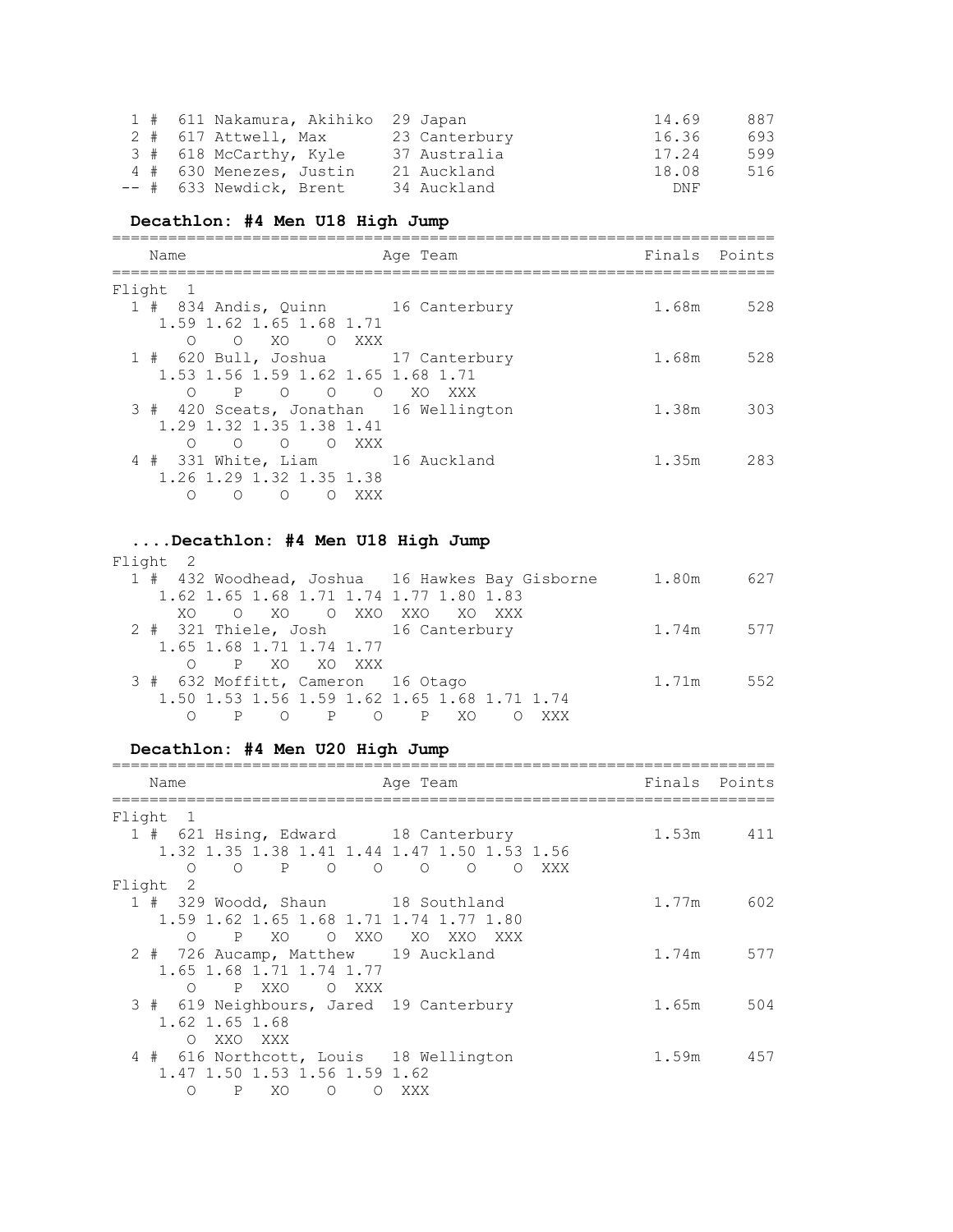|  | 1 # 611 Nakamura, Akihiko 29 Japan |               | 887<br>14.69 |
|--|------------------------------------|---------------|--------------|
|  | 2 # 617 Attwell, Max               | 23 Canterbury | 16.36<br>693 |
|  | 3 # 618 McCarthy, Kyle             | 37 Australia  | 599<br>17.24 |
|  | 4 # 630 Menezes, Justin            | 21 Auckland   | 18.08<br>516 |
|  | -- # 633 Newdick, Brent            | 34 Auckland   | DNF          |

# **Decathlon: #4 Men U18 High Jump**

| Name                                                                     | Age Team | Finals Points |     |
|--------------------------------------------------------------------------|----------|---------------|-----|
| Flight<br>$\overline{1}$                                                 |          |               |     |
| 1 # 834 Andis, Quinn 16 Canterbury<br>1.59 1.62 1.65 1.68 1.71           |          | 1.68m         | 528 |
| XO OXXX<br>$\overline{O}$<br>∩                                           |          |               |     |
| 1 # 620 Bull, Joshua 17 Canterbury<br>1.53 1.56 1.59 1.62 1.65 1.68 1.71 |          | 1.68m         | 528 |
| P O O O XO XXX<br>∩                                                      |          |               |     |
| 3 # 420 Sceats, Jonathan 16 Wellington                                   |          | 1.38m         | 303 |
| 1.29 1.32 1.35 1.38 1.41<br>O O O XXX<br>∩                               |          |               |     |
| 4 # 331 White, Liam 16 Auckland                                          |          | 1.35m         | 283 |
| 1.26 1.29 1.32 1.35 1.38<br>$\bigcirc$<br>∩<br>∩<br>XXX                  |          |               |     |

#### **....Decathlon: #4 Men U18 High Jump**

| Flight 2                                |                                                 |           |     |
|-----------------------------------------|-------------------------------------------------|-----------|-----|
|                                         | 1 # 432 Woodhead, Joshua 16 Hawkes Bay Gisborne | 1.80m     | 627 |
| 1.62 1.65 1.68 1.71 1.74 1.77 1.80 1.83 |                                                 |           |     |
| XO.                                     | O XO O XXO XXO XO XXX                           |           |     |
| 2 # 321 Thiele, Josh 16 Canterbury      |                                                 | 1.74m 577 |     |
| 1.65 1.68 1.71 1.74 1.77                |                                                 |           |     |
| O P XO XO XXX                           |                                                 |           |     |
| 3 # 632 Moffitt, Cameron 16 Otago       |                                                 | 1.71m     | 552 |
|                                         | 1.50 1.53 1.56 1.59 1.62 1.65 1.68 1.71 1.74    |           |     |
|                                         | O P O P XO<br>XXX                               |           |     |

# **Decathlon: #4 Men U20 High Jump**

| Name                                                             | Age Team                               | Finals Points |           |
|------------------------------------------------------------------|----------------------------------------|---------------|-----------|
| Flight<br>$\overline{1}$                                         |                                        |               |           |
| 1 # 621 Hsing, Edward 18 Canterbury                              |                                        |               | 1.53m 411 |
| 1.32 1.35 1.38 1.41 1.44 1.47 1.50 1.53 1.56                     |                                        |               |           |
| $\mathbb{P}$<br>$\overline{O}$<br>$\Omega$<br>$\circ$<br>$\circ$ | $\circ$<br>$\circ$<br>$\circ$<br>– XXX |               |           |
| Flight<br>$\overline{2}$                                         |                                        |               |           |
| 1 # 329 Woodd, Shaun 18 Southland                                |                                        | 1.77m         | 602       |
| 1.59 1.62 1.65 1.68 1.71 1.74 1.77 1.80                          |                                        |               |           |
| O XXO<br>$\mathbf{P}$<br>XO<br>$\bigcirc$                        | XO XXO<br>XXX                          |               |           |
| 2 # 726 Aucamp, Matthew 19 Auckland                              |                                        | 1.74m         | 577       |
| 1.65 1.68 1.71 1.74 1.77                                         |                                        |               |           |
| P XXO<br>O XXX<br>$\Omega$                                       |                                        |               |           |
| 3 # 619 Neighbours, Jared 19 Canterbury                          |                                        | 1.65m         | 504       |
| 1.62 1.65 1.68                                                   |                                        |               |           |
| $\circ$<br>XXO XXX                                               |                                        |               |           |
| 4 # 616 Northcott, Louis 18 Wellington                           |                                        | 1.59m         | 457       |
| 1.47 1.50 1.53 1.56 1.59 1.62                                    |                                        |               |           |
| $\Omega$<br>$\mathbf{P}$<br>XO<br>$\circ$<br>$\circ$             | – XXX                                  |               |           |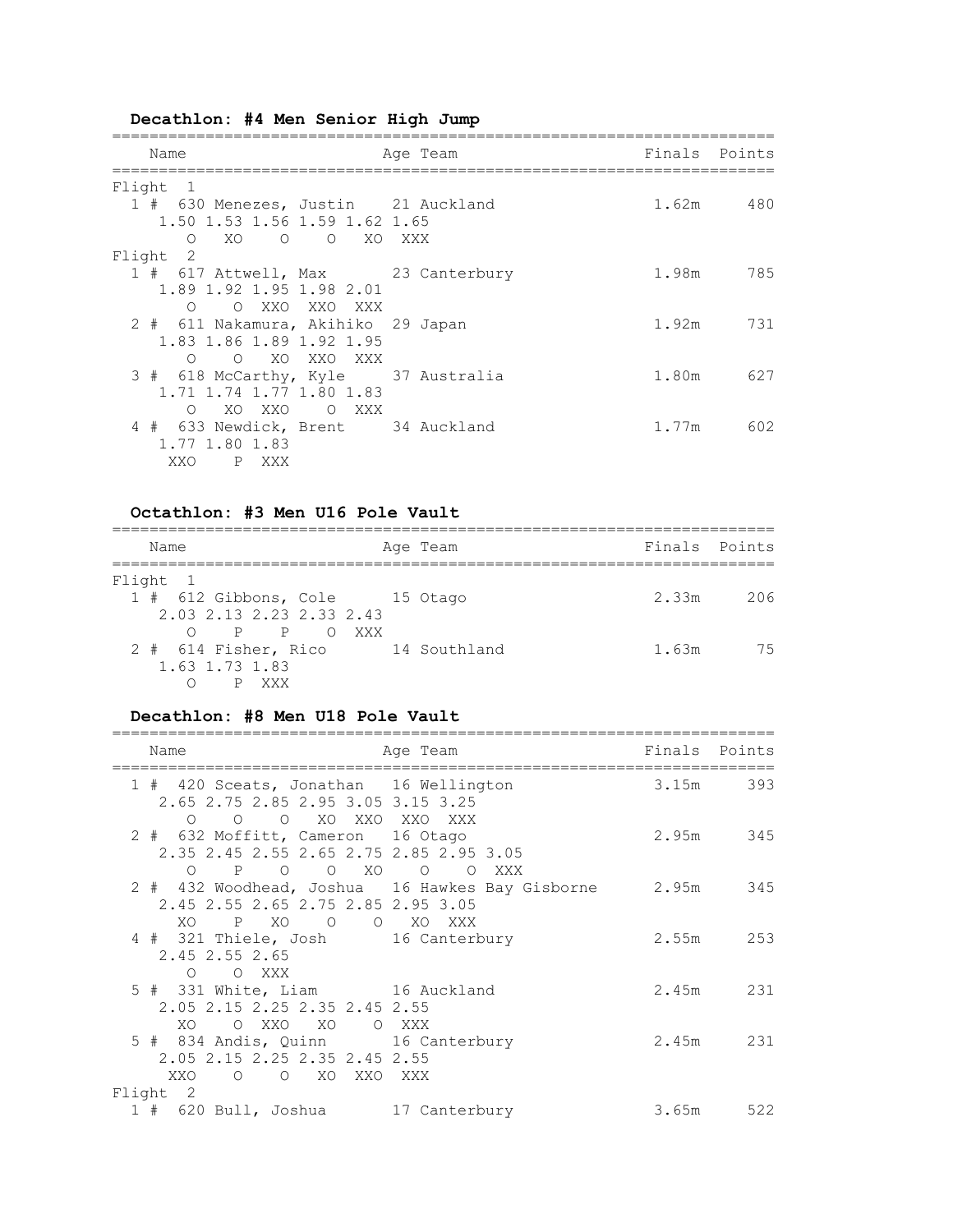# **Decathlon: #4 Men Senior High Jump**

| Name                                                                 | Age Team | Finals Points |           |
|----------------------------------------------------------------------|----------|---------------|-----------|
| Flight<br>$\overline{1}$                                             |          |               |           |
| 1 # 630 Menezes, Justin 21 Auckland<br>1.50 1.53 1.56 1.59 1.62 1.65 |          |               | 1.62m 480 |
| O O XO XXX<br>XO.<br>$\circ$                                         |          |               |           |
| Flight 2                                                             |          |               |           |
| 1 # 617 Attwell, Max 23 Canterbury<br>1.89 1.92 1.95 1.98 2.01       |          | 1.98m         | 785       |
| O XXO XXO XXX<br>$\cap$                                              |          |               |           |
| 2 # 611 Nakamura, Akihiko 29 Japan<br>1.83 1.86 1.89 1.92 1.95       |          | 1.92m         | 731       |
| $\Omega$<br>XO XXO<br>$\bigcirc$<br>XXX                              |          |               |           |
| 3 # 618 McCarthy, Kyle 37 Australia<br>1.71 1.74 1.77 1.80 1.83      |          | 1.80m         | 627       |
| XO XXO<br>O XXX<br>$\bigcirc$                                        |          |               |           |
| 4 # 633 Newdick, Brent 34 Auckland<br>1.77 1.80 1.83                 |          | 1.77m         | 602       |
| XXO<br>P XXX                                                         |          |               |           |

# **Octathlon: #3 Men U16 Pole Vault**

| Name                                                                                       | Age Team     | Finals Points |     |
|--------------------------------------------------------------------------------------------|--------------|---------------|-----|
| Flight 1<br>1 # 612 Gibbons, Cole 15 Otago<br>2.03 2.13 2.23 2.33 2.43<br>$P$ $P$ 0<br>XXX |              | 2.33m         | 206 |
| 2 # 614 Fisher, Rico<br>1.63 1.73 1.83<br>XXX                                              | 14 Southland | 1.63m         | 75  |

# **Decathlon: #8 Men U18 Pole Vault**

| Name                                                                                                             | Age Team                                                                      | Finals Points |           |
|------------------------------------------------------------------------------------------------------------------|-------------------------------------------------------------------------------|---------------|-----------|
| 1 # 420 Sceats, Jonathan 16 Wellington<br>2.65 2.75 2.85 2.95 3.05 3.15 3.25                                     |                                                                               |               | 3.15m 393 |
| O O XO XXO XXO XXX<br>$\bigcirc$<br>2 # 632 Moffitt, Cameron 16 Otago<br>2.35 2.45 2.55 2.65 2.75 2.85 2.95 3.05 |                                                                               |               | 2.95m 345 |
| $O$ P O O XO O<br>2.45 2.55 2.65 2.75 2.85 2.95 3.05<br>XO P XO O O XO XXX                                       | $\circ$<br>– XXX<br>2 # 432 Woodhead, Joshua 16 Hawkes Bay Gisborne 2.95m 345 |               |           |
| 4 # 321 Thiele, Josh 16 Canterbury<br>2.45 2.55 2.65<br>$\Omega$<br>O XXX                                        |                                                                               |               | 2.55m 253 |
| 5 # 331 White, Liam 16 Auckland<br>2.05 2.15 2.25 2.35 2.45 2.55<br>XO<br>O XXO XO                               | O XXX                                                                         |               | 2.45m 231 |
| 5 # 834 Andis, Quinn 16 Canterbury<br>2.05 2.15 2.25 2.35 2.45 2.55<br>XXO<br>O XO XXO XXX<br>$\circ$            |                                                                               |               | 2.45m 231 |
| Flight 2                                                                                                         |                                                                               |               |           |
| 1 # 620 Bull, Joshua 17 Canterbury                                                                               |                                                                               | 3.65m         | 522       |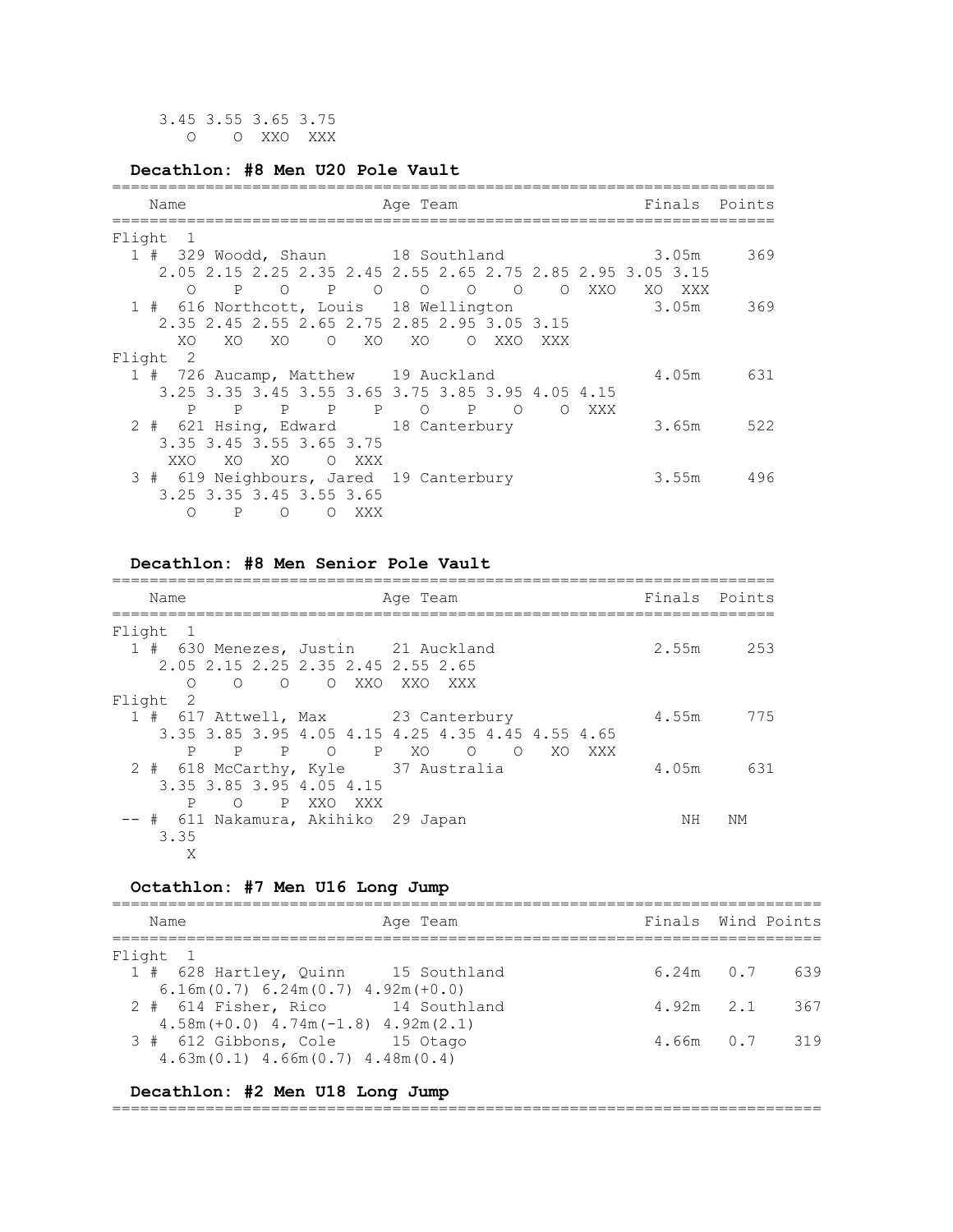#### **Decathlon: #8 Men U20 Pole Vault**

| Name                                         | Age Team                                                    | Finals Points |     |
|----------------------------------------------|-------------------------------------------------------------|---------------|-----|
| Flight<br>$\overline{1}$                     |                                                             |               |     |
|                                              | 1 # 329 Woodd, Shaun 18 Southland 3.05m                     |               | 369 |
|                                              | 2.05 2.15 2.25 2.35 2.45 2.55 2.65 2.75 2.85 2.95 3.05 3.15 |               |     |
| $\overline{P}$<br>$\circ$                    | O XXO                                                       | XO XXX        |     |
| 1 # 616 Northcott, Louis 18 Wellington       |                                                             | 3.05m         | 369 |
| 2.35 2.45 2.55 2.65 2.75 2.85 2.95 3.05 3.15 |                                                             |               |     |
| XO.<br>XO.<br>XOOXOXO                        | O XXO<br>XXX                                                |               |     |
| Flight 2                                     |                                                             |               |     |
| 1 # 726 Aucamp, Matthew 19 Auckland          |                                                             | 4.05m 631     |     |
|                                              | 3.25 3.35 3.45 3.55 3.65 3.75 3.85 3.95 4.05 4.15           |               |     |
| P P P O<br>P<br>$\mathbb{P}$                 | $\mathbb{P}$<br>$\Omega$<br>$\circ$<br>XXX                  |               |     |
| 2 # 621 Hsing, Edward 18 Canterbury          |                                                             | 3.65m 522     |     |
| 3.35 3.45 3.55 3.65 3.75                     |                                                             |               |     |
| XO X<br>XO X<br>O XXX<br>XXO                 |                                                             |               |     |
| 3 # 619 Neighbours, Jared 19 Canterbury      |                                                             | 3.55m 496     |     |
| 3.25 3.35 3.45 3.55 3.65                     |                                                             |               |     |
| P<br>$\circ$<br>∩<br>$\Omega$<br>XXX         |                                                             |               |     |
|                                              |                                                             |               |     |

#### **Decathlon: #8 Men Senior Pole Vault**

| Name                                   |            | Age Team                                          | Finals Points |           |
|----------------------------------------|------------|---------------------------------------------------|---------------|-----------|
| Flight 1                               |            |                                                   |               |           |
| 1 # 630 Menezes, Justin 21 Auckland    |            |                                                   |               | 2.55m 253 |
| 2.05 2.15 2.25 2.35 2.45 2.55 2.65     |            |                                                   |               |           |
| $\Omega$<br>$\Omega$<br>$\overline{O}$ | O XXO XXO  | XXX                                               |               |           |
| Flight<br>-2                           |            |                                                   |               |           |
| 1 # 617 Attwell, Max 23 Canterbury     |            |                                                   | 4.55m         | 775       |
|                                        |            | 3.35 3.85 3.95 4.05 4.15 4.25 4.35 4.45 4.55 4.65 |               |           |
| P<br>$\mathbb{P}$                      | P O P XO O | O XO<br>XXX X                                     |               |           |
| 2 # 618 McCarthy, Kyle 37 Australia    |            |                                                   | 4.05m         | 631       |
| 3.35 3.85 3.95 4.05 4.15               |            |                                                   |               |           |
| P<br>O PXXOXXX                         |            |                                                   |               |           |
| -- #  611 Nakamura, Akihiko  29 Japan  |            |                                                   | NΗ            | NΜ        |
| 3.35                                   |            |                                                   |               |           |
| Χ                                      |            |                                                   |               |           |

#### **Octathlon: #7 Men U16 Long Jump**

============================================================================ Name **Age Team** Age Team Finals Wind Points ============================================================================ Flight 1 1 # 628 Hartley, Quinn 15 Southland 6.24m 0.7 639 6.16m(0.7) 6.24m(0.7) 4.92m(+0.0) 2 # 614 Fisher, Rico 14 Southland 4.92m 2.1 367 4.58m(+0.0) 4.74m(-1.8) 4.92m(2.1) 3 # 612 Gibbons, Cole 15 Otago 4.66m 0.7 319 4.63m(0.1) 4.66m(0.7) 4.48m(0.4)

#### **Decathlon: #2 Men U18 Long Jump**

============================================================================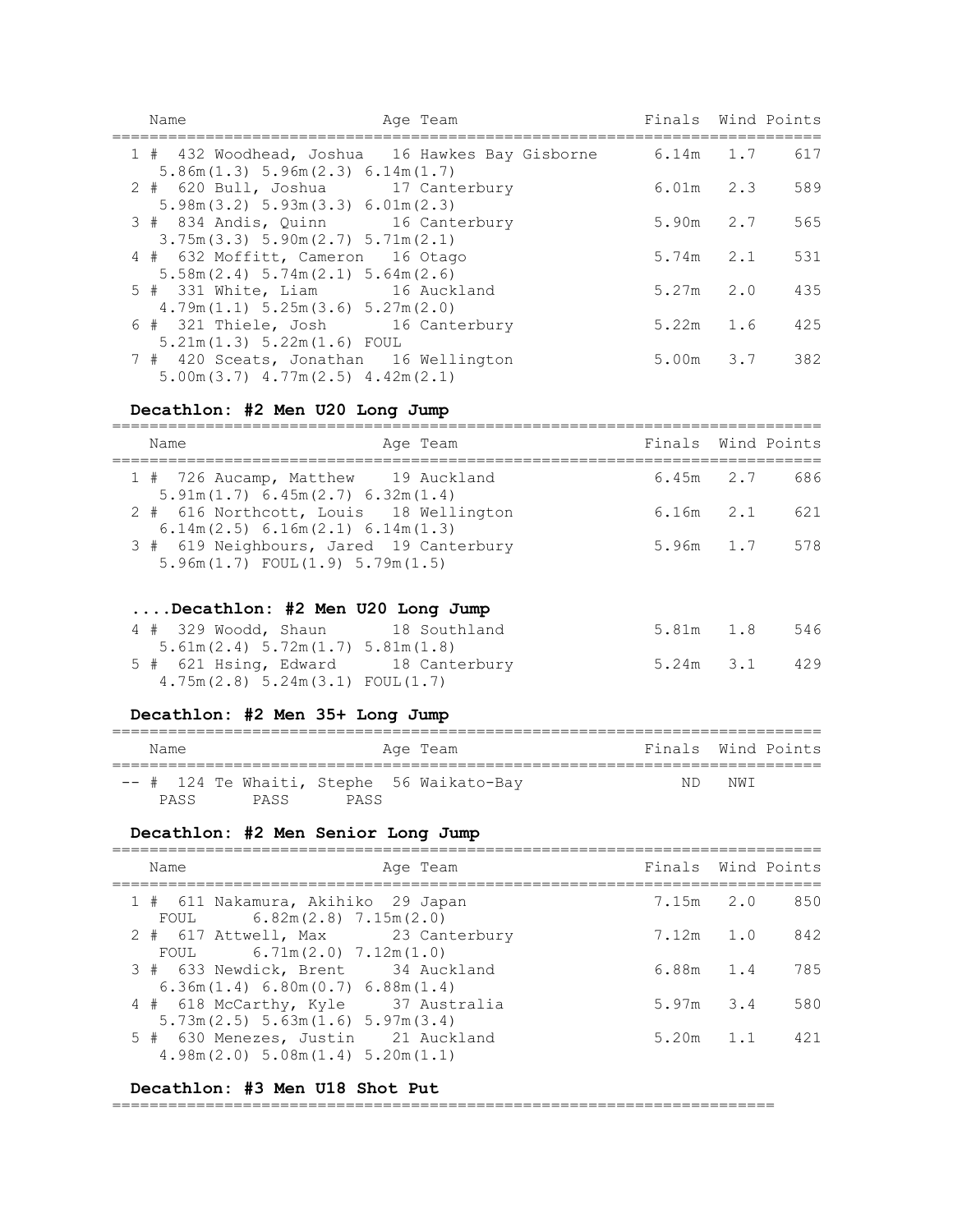| Name                                                                                     | Age Team | Finals Wind Points |     |
|------------------------------------------------------------------------------------------|----------|--------------------|-----|
| 1 # 432 Woodhead, Joshua 16 Hawkes Bay Gisborne<br>5.86m(1.3) 5.96m(2.3) 6.14m(1.7)      |          | $6.14m$ 1.7 617    |     |
| 2 # 620 Bull, Joshua 17 Canterbury<br>5.98m(3.2) 5.93m(3.3) 6.01m(2.3)                   |          | $6.01m$ 2.3        | 589 |
| 3 # 834 Andis, Quinn 16 Canterbury                                                       |          | 5.90m 2.7          | 565 |
| $3.75m(3.3)$ 5.90m $(2.7)$ 5.71m $(2.1)$                                                 |          |                    |     |
| 4 # 632 Moffitt, Cameron 16 Otago<br>$5.58$ m $(2.4)$ $5.74$ m $(2.1)$ $5.64$ m $(2.6)$  |          | $5.74m$ $2.1$      | 531 |
| 5 # 331 White, Liam 16 Auckland                                                          |          | $5.27m$ $2.0$      | 435 |
| 4.79m(1.1) 5.25m(3.6) 5.27m(2.0)                                                         |          |                    |     |
| 6 # 321 Thiele, Josh 16 Canterbury                                                       |          | $5.22m$ 1.6        | 425 |
| $5.21m(1.3) 5.22m(1.6)$ FOUL                                                             |          |                    |     |
| 7 # 420 Sceats, Jonathan 16 Wellington<br>$5.00$ m $(3.7)$ 4.77 m $(2.5)$ 4.42 m $(2.1)$ |          | 5.00m 3.7 382      |     |

# **Decathlon: #2 Men U20 Long Jump**

| Name                                                                                   | Age Team | Finals Wind Points |     |
|----------------------------------------------------------------------------------------|----------|--------------------|-----|
| 1 # 726 Aucamp, Matthew 19 Auckland<br>5.91m(1.7) 6.45m(2.7) 6.32m(1.4)                |          | $6.45m$ 2.7        | 686 |
| 2 # 616 Northcott, Louis 18 Wellington<br>$6.14$ m $(2.5)$ 6.16m $(2.1)$ 6.14m $(1.3)$ |          | $6.16m$ $2.1$      | 621 |
| 3 # 619 Neighbours, Jared 19 Canterbury<br>$5.96m(1.7)$ FOUL $(1.9)$ 5.79m $(1.5)$     |          | 5.96m 1.7          | 578 |
| Decathlon: #2 Men U20 Long Jump                                                        |          |                    |     |
| 4 # 329 Woodd, Shaun 18 Southland<br>5.61m(2.4) 5.72m(1.7) 5.81m(1.8)                  |          | $5.81m$ $1.8$      | 546 |
| 5 # 621 Hsing, Edward 18 Canterbury<br>4.75m(2.8) 5.24m(3.1) FOUL(1.7)                 |          | 5.24m 3.1 429      |     |
| Decathlon: #2 Men 35+ Long Jump                                                        |          |                    |     |
| Name                                                                                   | Age Team | Finals Wind Points |     |
|                                                                                        |          |                    |     |

|  |  |                | -- # 124 Te Whaiti, Stephe 56 Waikato-Bay | ND NWI |  |
|--|--|----------------|-------------------------------------------|--------|--|
|  |  | PASS PASS PASS |                                           |        |  |

# **Decathlon: #2 Men Senior Long Jump**

| Name<br>Age Team                                                                | Finals Wind Points |               |
|---------------------------------------------------------------------------------|--------------------|---------------|
| 1 # 611 Nakamura, Akihiko 29 Japan<br>FOUL 6.82m $(2.8)$ 7.15m $(2.0)$          |                    | 7.15m 2.0 850 |
| 2 # 617 Attwell, Max 23 Canterbury<br>FOUL $6.71m(2.0) 7.12m(1.0)$              | $7.12m$ 1.0        | 842           |
| 3 # 633 Newdick, Brent 34 Auckland<br>6.36m(1.4) 6.80m(0.7) 6.88m(1.4)          | 6.88m 1.4          | 785           |
| 4 # 618 McCarthy, Kyle 37 Australia<br>$5.73m(2.5)$ 5.63m(1.6) 5.97m(3.4)       | $5.97m$ $3.4$      | 580           |
| 5 # 630 Menezes, Justin 21 Auckland<br>$4.98m(2.0)$ 5.08 $m(1.4)$ 5.20 $m(1.1)$ | $5.20m$ 1.1        | 421           |

## **Decathlon: #3 Men U18 Shot Put**

=======================================================================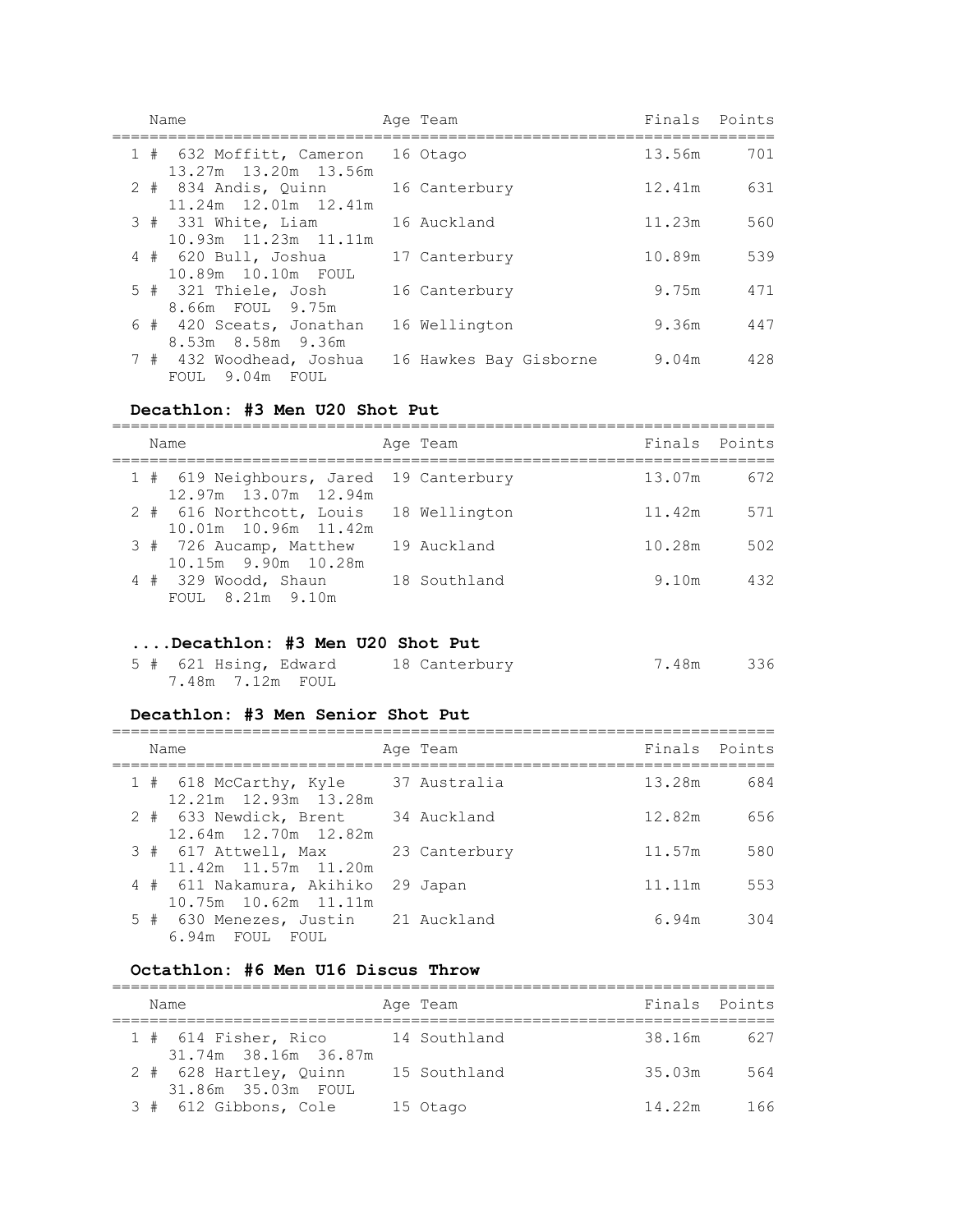| Name                                             | Age Team               | Finals | Points |
|--------------------------------------------------|------------------------|--------|--------|
| 1 # 632 Moffitt, Cameron<br>13.27m 13.20m 13.56m | 16 Otago               | 13.56m | 701    |
| 2 # 834 Andis, Quinn<br>11.24m 12.01m 12.41m     | 16 Canterbury          | 12.41m | 631    |
| 3 # 331 White, Liam<br>10.93m  11.23m  11.11m    | 16 Auckland            | 11.23m | 560    |
| $4$ # 620 Bull, Joshua<br>10.89m  10.10m  FOUL   | 17 Canterbury          | 10.89m | 539    |
| $5$ # 321 Thiele, Josh<br>8.66m FOUL 9.75m       | 16 Canterbury          | 9.75m  | 471    |
| 6 # 420 Sceats, Jonathan<br>8.53m 8.58m 9.36m    | 16 Wellington          | 9.36m  | 447    |
| 7 # 432 Woodhead, Joshua<br>FOUL 9.04m FOUL      | 16 Hawkes Bay Gisborne | 9.04m  | 428    |

#### **Decathlon: #3 Men U20 Shot Put**

| Name                                                            | Age Team     | Finals Points |     |
|-----------------------------------------------------------------|--------------|---------------|-----|
| 1 # 619 Neighbours, Jared 19 Canterbury<br>12.97m 13.07m 12.94m |              | 13.07m        | 672 |
| 2 # 616 Northcott, Louis 18 Wellington<br>10.01m 10.96m 11.42m  |              | 11.42m        | 571 |
| 3 # 726 Aucamp, Matthew<br>10.15m 9.90m 10.28m                  | 19 Auckland  | 10.28m        | 502 |
| 4 # 329 Woodd, Shaun<br>FOUL 8.21m 9.10m                        | 18 Southland | 9.10m         | 432 |

# **....Decathlon: #3 Men U20 Shot Put**

| 5 # 621 Hsing, Edward | 18 Canterbury | 336<br>7.48m |
|-----------------------|---------------|--------------|
| 7.48m 7.12m FOUL      |               |              |

#### **Decathlon: #3 Men Senior Shot Put**

| Name                                                   | Age Team      | Finals Points |     |
|--------------------------------------------------------|---------------|---------------|-----|
| 1 # 618 McCarthy, Kyle<br>12.21m 12.93m 13.28m         | 37 Australia  | 13.28m        | 684 |
| 2 # 633 Newdick, Brent<br>12.64m 12.70m 12.82m         | 34 Auckland   | 12.82m        | 656 |
| 3 # 617 Attwell, Max<br>11.42m 11.57m 11.20m           | 23 Canterbury | 11.57m        | 580 |
| 4 # 611 Nakamura, Akihiko<br>10.75m 10.62m 11.11m      | 29 Japan      | 11.11m        | 553 |
| 5 # 630 Menezes, Justin 21 Auckland<br>6.94m FOUL FOUL |               | 6.94m         | 304 |

# **Octathlon: #6 Men U16 Discus Throw**

| Name                                           |  | Age Team     | Finals Points |     |  |  |  |  |  |
|------------------------------------------------|--|--------------|---------------|-----|--|--|--|--|--|
| $1$ # 614 Fisher, Rico<br>31.74m 38.16m 36.87m |  | 14 Southland | 38.16m        | 627 |  |  |  |  |  |
| 2 # 628 Hartley, Quinn<br>31.86m 35.03m FOUL   |  | 15 Southland | 35.03m        | 564 |  |  |  |  |  |
| 3 # 612 Gibbons, Cole                          |  | 15 Otago     | 14.22m        | 166 |  |  |  |  |  |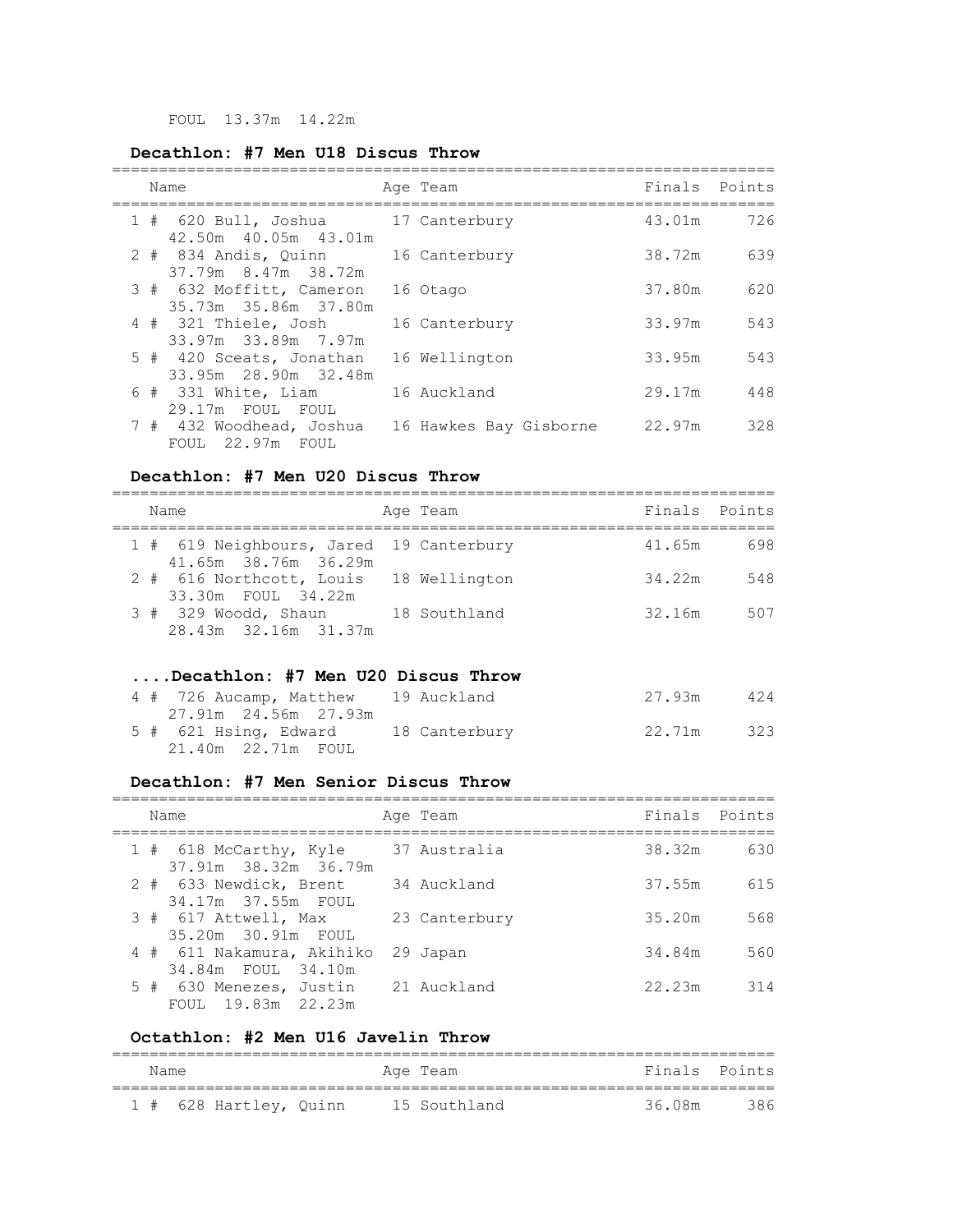FOUL 13.37m 14.22m

# **Decathlon: #7 Men U18 Discus Throw**

| Name                                             | Age Team               | Finals | Points |
|--------------------------------------------------|------------------------|--------|--------|
| 1 # 620 Bull, Joshua<br>42.50m 40.05m 43.01m     | 17 Canterbury          | 43.01m | 726    |
| 2 # 834 Andis, Quinn<br>37.79m 8.47m 38.72m      | 16 Canterbury          | 38.72m | 639    |
| 3 # 632 Moffitt, Cameron<br>35.73m 35.86m 37.80m | 16 Otago               | 37.80m | 620    |
| 4 # 321 Thiele, Josh<br>33.97m 33.89m 7.97m      | 16 Canterbury          | 33.97m | 543    |
| 5 # 420 Sceats, Jonathan<br>33.95m 28.90m 32.48m | 16 Wellington          | 33.95m | 543    |
| 6 # 331 White, Liam<br>29.17m FOUL FOUL          | 16 Auckland            | 29.17m | 448    |
| 7 # 432 Woodhead, Joshua<br>FOUL 22.97m FOUL     | 16 Hawkes Bay Gisborne | 22.97m | 328    |

#### **Decathlon: #7 Men U20 Discus Throw**

| Name                                                            | Age Team     | Finals Points |     |
|-----------------------------------------------------------------|--------------|---------------|-----|
| 1 # 619 Neighbours, Jared 19 Canterbury<br>41.65m 38.76m 36.29m |              | 41.65m        | 698 |
| 2 # 616 Northcott, Louis 18 Wellington<br>33.30m FOUL 34.22m    |              | 34.22m        | 548 |
| $3#329$ Woodd, Shaun<br>28.43m 32.16m 31.37m                    | 18 Southland | 32.16m        | 507 |

# **....Decathlon: #7 Men U20 Discus Throw**

| 4 # 726 Aucamp, Matthew 19 Auckland | 27.93m | 424 |
|-------------------------------------|--------|-----|
|                                     |        |     |
| 5 # 621 Hsing, Edward 18 Canterbury | 22.71m | 323 |

## **Decathlon: #7 Men Senior Discus Throw**

| Name                                            | Age Team      | Finals Points |     |
|-------------------------------------------------|---------------|---------------|-----|
| 1 # 618 McCarthy, Kyle<br>37.91m 38.32m 36.79m  | 37 Australia  | 38.32m        | 630 |
| 2 # 633 Newdick, Brent<br>34.17m 37.55m FOUL    | 34 Auckland   | 37.55m        | 615 |
| 3 # 617 Attwell, Max<br>35.20m 30.91m FOUL      | 23 Canterbury | 35.20m        | 568 |
| 4 # 611 Nakamura, Akihiko<br>34.84m FOUL 34.10m | 29 Japan      | 34.84m        | 560 |
| 5 # 630 Menezes, Justin<br>FOUL 19.83m 22.23m   | 21 Auckland   | 22.23m        | 314 |

## **Octathlon: #2 Men U16 Javelin Throw**

| Name |                        |  | Age Team     | Finals Points |       |
|------|------------------------|--|--------------|---------------|-------|
|      | 1 # 628 Hartley, Quinn |  | 15 Southland | 36.08m        | - 386 |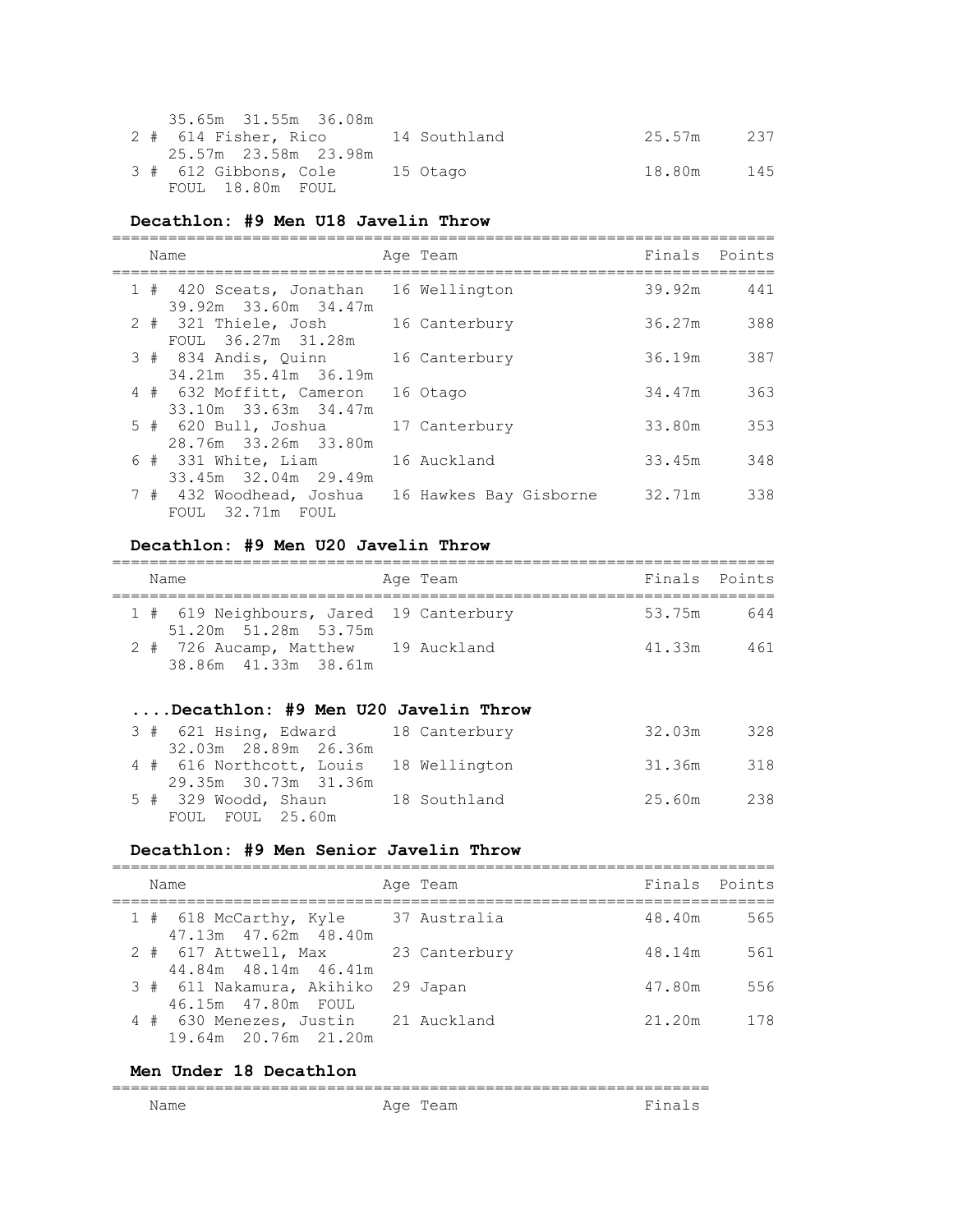| 35.65m 31.55m 36.08m              |          |        |     |
|-----------------------------------|----------|--------|-----|
| 2 # 614 Fisher, Rico 14 Southland |          | 25.57m | 237 |
|                                   |          |        |     |
| 3 # 612 Gibbons, Cole             | 15 Otago | 18.80m | 145 |
| FOUL 18.80m FOUL                  |          |        |     |

#### **Decathlon: #9 Men U18 Javelin Throw**

|  | Name                                             | Age Team               | Finals Points |     |
|--|--------------------------------------------------|------------------------|---------------|-----|
|  | 1 # 420 Sceats, Jonathan<br>39.92m 33.60m 34.47m | 16 Wellington          | 39.92m        | 441 |
|  | 2 # 321 Thiele, Josh<br>FOUL 36.27m 31.28m       | 16 Canterbury          | 36.27m        | 388 |
|  | 3 # 834 Andis, Ouinn<br>34.21m 35.41m 36.19m     | 16 Canterbury          | 36.19m        | 387 |
|  | 4 # 632 Moffitt, Cameron<br>33.10m 33.63m 34.47m | 16 Otago               | 34.47m        | 363 |
|  | $5$ # 620 Bull, Joshua<br>28.76m 33.26m 33.80m   | 17 Canterbury          | 33.80m        | 353 |
|  | $6$ # 331 White, Liam<br>33.45m 32.04m 29.49m    | 16 Auckland            | 33.45m        | 348 |
|  | 7 # 432 Woodhead, Joshua<br>FOUL 32.71m FOUL     | 16 Hawkes Bay Gisborne | 32.71m        | 338 |

#### **Decathlon: #9 Men U20 Javelin Throw**

| Name                                                            | Age Team | Finals Points |     |
|-----------------------------------------------------------------|----------|---------------|-----|
| 1 # 619 Neighbours, Jared 19 Canterbury<br>51.20m 51.28m 53.75m |          | 53.75m        | 644 |
| 2 # 726 Aucamp, Matthew 19 Auckland<br>38.86m 41.33m 38.61m     |          | 41.33m        | 461 |

## **....Decathlon: #9 Men U20 Javelin Throw**

| 3 # 621 Hsing, Edward 18 Canterbury    | 32.03m     | 328 |
|----------------------------------------|------------|-----|
| 32.03m 28.89m 26.36m                   |            |     |
| 4 # 616 Northcott, Louis 18 Wellington | 31.36m 318 |     |
| 29.35m 30.73m 31.36m                   |            |     |
| 5 # 329 Woodd, Shaun 18 Southland      | 25.60m     | 238 |
| FOUL FOUL 25.60m                       |            |     |

#### **Decathlon: #9 Men Senior Javelin Throw**

| Name                                                       | Age Team     | Finals Points |     |
|------------------------------------------------------------|--------------|---------------|-----|
| 1 # 618 McCarthy, Kyle<br>47.13m  47.62m  48.40m           | 37 Australia | 48.40m        | 565 |
| 2 # 617 Attwell, Max 23 Canterbury<br>44.84m 48.14m 46.41m |              | 48.14m        | 561 |
| 3 # 611 Nakamura, Akihiko 29 Japan<br>46.15m  47.80m  FOUL |              | 47.80m        | 556 |
| 4 # 630 Menezes, Justin<br>19.64m 20.76m 21.20m            | 21 Auckland  | 21.20m        | 178 |

#### **Men Under 18 Decathlon**

| ______ |     |  |
|--------|-----|--|
|        | . . |  |